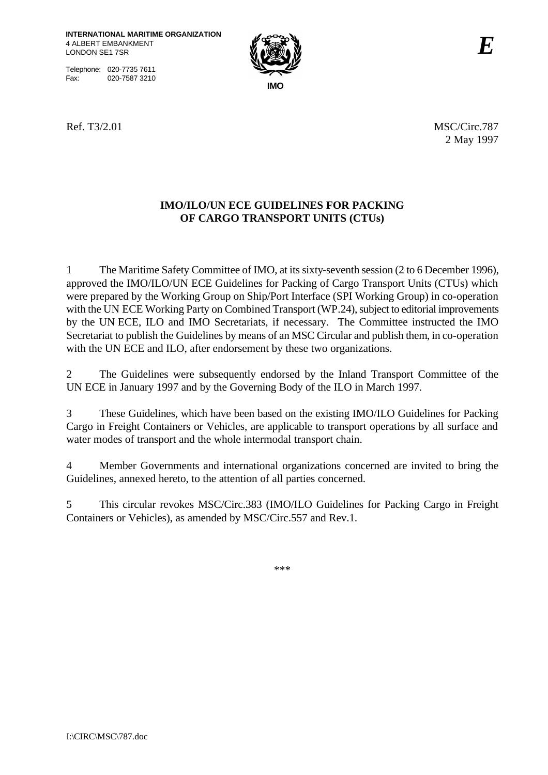Telephone: 020-7735 7611 Fax: 020-7587 3210



Ref. T3/2.01 MSC/Circ.787 2 May 1997

# **IMO/ILO/UN ECE GUIDELINES FOR PACKING OF CARGO TRANSPORT UNITS (CTUs)**

1 The Maritime Safety Committee of IMO, at its sixty-seventh session (2 to 6 December 1996), approved the IMO/ILO/UN ECE Guidelines for Packing of Cargo Transport Units (CTUs) which were prepared by the Working Group on Ship/Port Interface (SPI Working Group) in co-operation with the UN ECE Working Party on Combined Transport (WP.24), subject to editorial improvements by the UN ECE, ILO and IMO Secretariats, if necessary. The Committee instructed the IMO Secretariat to publish the Guidelines by means of an MSC Circular and publish them, in co-operation with the UN ECE and ILO, after endorsement by these two organizations.

2 The Guidelines were subsequently endorsed by the Inland Transport Committee of the UN ECE in January 1997 and by the Governing Body of the ILO in March 1997.

3 These Guidelines, which have been based on the existing IMO/ILO Guidelines for Packing Cargo in Freight Containers or Vehicles, are applicable to transport operations by all surface and water modes of transport and the whole intermodal transport chain.

4 Member Governments and international organizations concerned are invited to bring the Guidelines, annexed hereto, to the attention of all parties concerned.

5 This circular revokes MSC/Circ.383 (IMO/ILO Guidelines for Packing Cargo in Freight Containers or Vehicles), as amended by MSC/Circ.557 and Rev.1.

\*\*\*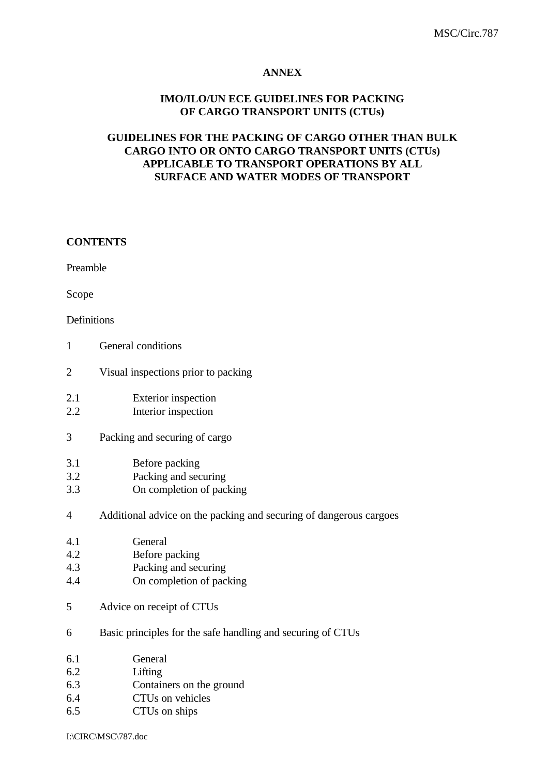## **IMO/ILO/UN ECE GUIDELINES FOR PACKING OF CARGO TRANSPORT UNITS (CTUs)**

# **GUIDELINES FOR THE PACKING OF CARGO OTHER THAN BULK CARGO INTO OR ONTO CARGO TRANSPORT UNITS (CTUs) APPLICABLE TO TRANSPORT OPERATIONS BY ALL SURFACE AND WATER MODES OF TRANSPORT**

# **CONTENTS**

Preamble

Scope

### Definitions

| General conditions                                                            |  |  |  |
|-------------------------------------------------------------------------------|--|--|--|
| Visual inspections prior to packing                                           |  |  |  |
| <b>Exterior</b> inspection<br>Interior inspection                             |  |  |  |
| Packing and securing of cargo                                                 |  |  |  |
| Before packing<br>Packing and securing<br>On completion of packing            |  |  |  |
| Additional advice on the packing and securing of dangerous cargoes            |  |  |  |
| General<br>Before packing<br>Packing and securing<br>On completion of packing |  |  |  |
| Advice on receipt of CTUs                                                     |  |  |  |
| Basic principles for the safe handling and securing of CTUs                   |  |  |  |
| General<br>Lifting<br>Containers on the ground                                |  |  |  |
|                                                                               |  |  |  |

I:\CIRC\MSC\787.doc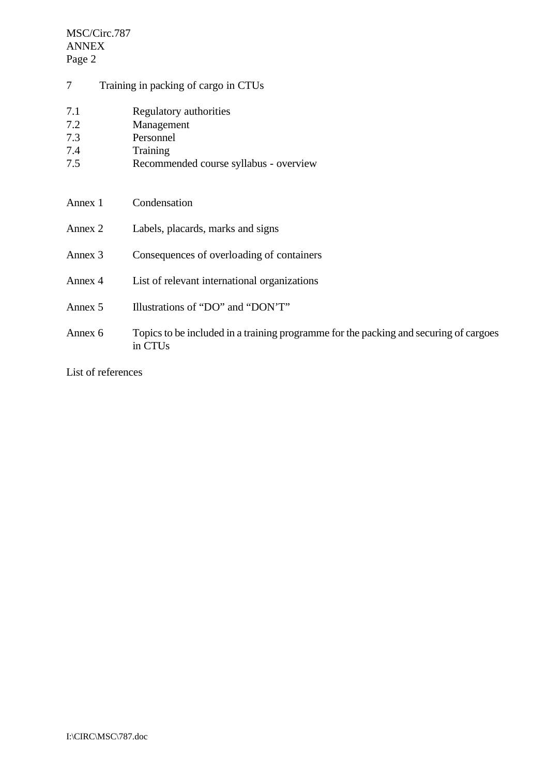| $\tau$<br>Training in packing of cargo in CTUs |                                                                                                  |  |  |
|------------------------------------------------|--------------------------------------------------------------------------------------------------|--|--|
| 7.1                                            | Regulatory authorities                                                                           |  |  |
| 7.2                                            | Management                                                                                       |  |  |
| 7.3                                            | Personnel                                                                                        |  |  |
| 7.4                                            | Training                                                                                         |  |  |
| 7.5                                            | Recommended course syllabus - overview                                                           |  |  |
|                                                |                                                                                                  |  |  |
| Annex 1                                        | Condensation                                                                                     |  |  |
| Annex 2                                        | Labels, placards, marks and signs                                                                |  |  |
| Annex 3                                        | Consequences of overloading of containers                                                        |  |  |
| Annex 4                                        | List of relevant international organizations                                                     |  |  |
| Annex 5                                        | Illustrations of "DO" and "DON'T"                                                                |  |  |
| Annex 6                                        | Topics to be included in a training programme for the packing and securing of cargoes<br>in CTUs |  |  |

List of references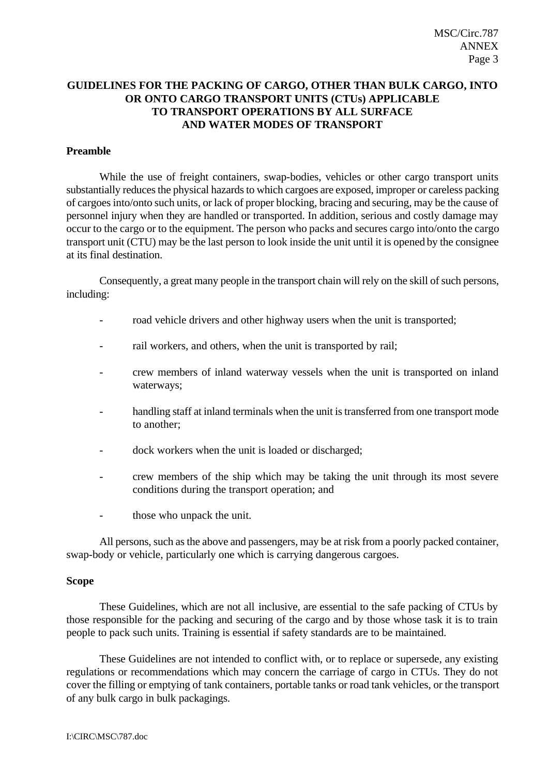## **GUIDELINES FOR THE PACKING OF CARGO, OTHER THAN BULK CARGO, INTO OR ONTO CARGO TRANSPORT UNITS (CTUs) APPLICABLE TO TRANSPORT OPERATIONS BY ALL SURFACE AND WATER MODES OF TRANSPORT**

#### **Preamble**

While the use of freight containers, swap-bodies, vehicles or other cargo transport units substantially reduces the physical hazards to which cargoes are exposed, improper or careless packing of cargoes into/onto such units, or lack of proper blocking, bracing and securing, may be the cause of personnel injury when they are handled or transported. In addition, serious and costly damage may occur to the cargo or to the equipment. The person who packs and secures cargo into/onto the cargo transport unit (CTU) may be the last person to look inside the unit until it is opened by the consignee at its final destination.

Consequently, a great many people in the transport chain will rely on the skill of such persons, including:

- road vehicle drivers and other highway users when the unit is transported;
- rail workers, and others, when the unit is transported by rail;
- crew members of inland waterway vessels when the unit is transported on inland waterways;
- handling staff at inland terminals when the unit is transferred from one transport mode to another;
- dock workers when the unit is loaded or discharged;
- crew members of the ship which may be taking the unit through its most severe conditions during the transport operation; and
- those who unpack the unit.

All persons, such as the above and passengers, may be at risk from a poorly packed container, swap-body or vehicle, particularly one which is carrying dangerous cargoes.

#### **Scope**

These Guidelines, which are not all inclusive, are essential to the safe packing of CTUs by those responsible for the packing and securing of the cargo and by those whose task it is to train people to pack such units. Training is essential if safety standards are to be maintained.

These Guidelines are not intended to conflict with, or to replace or supersede, any existing regulations or recommendations which may concern the carriage of cargo in CTUs. They do not cover the filling or emptying of tank containers, portable tanks or road tank vehicles, or the transport of any bulk cargo in bulk packagings.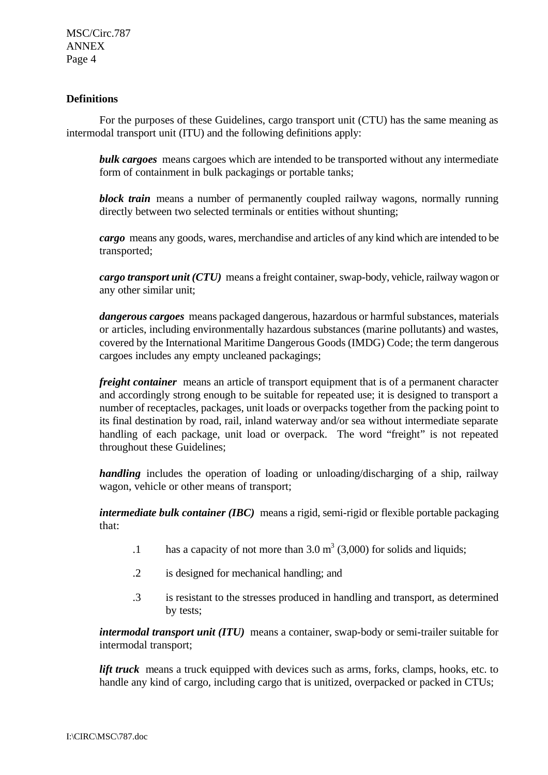### **Definitions**

For the purposes of these Guidelines, cargo transport unit (CTU) has the same meaning as intermodal transport unit (ITU) and the following definitions apply:

*bulk cargoes* means cargoes which are intended to be transported without any intermediate form of containment in bulk packagings or portable tanks;

*block train* means a number of permanently coupled railway wagons, normally running directly between two selected terminals or entities without shunting;

*cargo* means any goods, wares, merchandise and articles of any kind which are intended to be transported;

*cargo transport unit (CTU)* means a freight container, swap-body, vehicle, railway wagon or any other similar unit;

*dangerous cargoes* means packaged dangerous, hazardous or harmful substances, materials or articles, including environmentally hazardous substances (marine pollutants) and wastes, covered by the International Maritime Dangerous Goods (IMDG) Code; the term dangerous cargoes includes any empty uncleaned packagings;

*freight container* means an article of transport equipment that is of a permanent character and accordingly strong enough to be suitable for repeated use; it is designed to transport a number of receptacles, packages, unit loads or overpacks together from the packing point to its final destination by road, rail, inland waterway and/or sea without intermediate separate handling of each package, unit load or overpack. The word "freight" is not repeated throughout these Guidelines;

*handling* includes the operation of loading or unloading/discharging of a ship, railway wagon, vehicle or other means of transport;

*intermediate bulk container (IBC)* means a rigid, semi-rigid or flexible portable packaging that:

- .1 has a capacity of not more than  $3.0 \text{ m}^3$  (3,000) for solids and liquids;
- .2 is designed for mechanical handling; and
- .3 is resistant to the stresses produced in handling and transport, as determined by tests;

*intermodal transport unit (ITU)* means a container, swap-body or semi-trailer suitable for intermodal transport;

*lift truck* means a truck equipped with devices such as arms, forks, clamps, hooks, etc. to handle any kind of cargo, including cargo that is unitized, overpacked or packed in CTUs;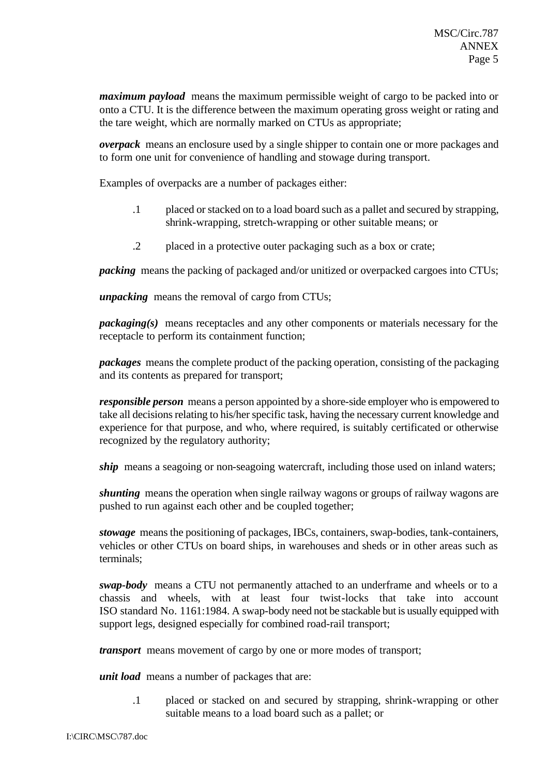*maximum payload* means the maximum permissible weight of cargo to be packed into or onto a CTU. It is the difference between the maximum operating gross weight or rating and the tare weight, which are normally marked on CTUs as appropriate;

*overpack* means an enclosure used by a single shipper to contain one or more packages and to form one unit for convenience of handling and stowage during transport.

Examples of overpacks are a number of packages either:

- .1 placed or stacked on to a load board such as a pallet and secured by strapping, shrink-wrapping, stretch-wrapping or other suitable means; or
- .2 placed in a protective outer packaging such as a box or crate;

*packing* means the packing of packaged and/or unitized or overpacked cargoes into CTUs;

*unpacking* means the removal of cargo from CTUs;

*packaging(s)* means receptacles and any other components or materials necessary for the receptacle to perform its containment function;

*packages* means the complete product of the packing operation, consisting of the packaging and its contents as prepared for transport;

*responsible person* means a person appointed by a shore-side employer who is empowered to take all decisions relating to his/her specific task, having the necessary current knowledge and experience for that purpose, and who, where required, is suitably certificated or otherwise recognized by the regulatory authority;

*ship* means a seagoing or non-seagoing watercraft, including those used on inland waters;

*shunting* means the operation when single railway wagons or groups of railway wagons are pushed to run against each other and be coupled together;

*stowage* means the positioning of packages, IBCs, containers, swap-bodies, tank-containers, vehicles or other CTUs on board ships, in warehouses and sheds or in other areas such as terminals;

*swap-body* means a CTU not permanently attached to an underframe and wheels or to a chassis and wheels, with at least four twist-locks that take into account ISO standard No. 1161:1984. A swap-body need not be stackable but is usually equipped with support legs, designed especially for combined road-rail transport;

*transport* means movement of cargo by one or more modes of transport;

*unit load* means a number of packages that are:

.1 placed or stacked on and secured by strapping, shrink-wrapping or other suitable means to a load board such as a pallet; or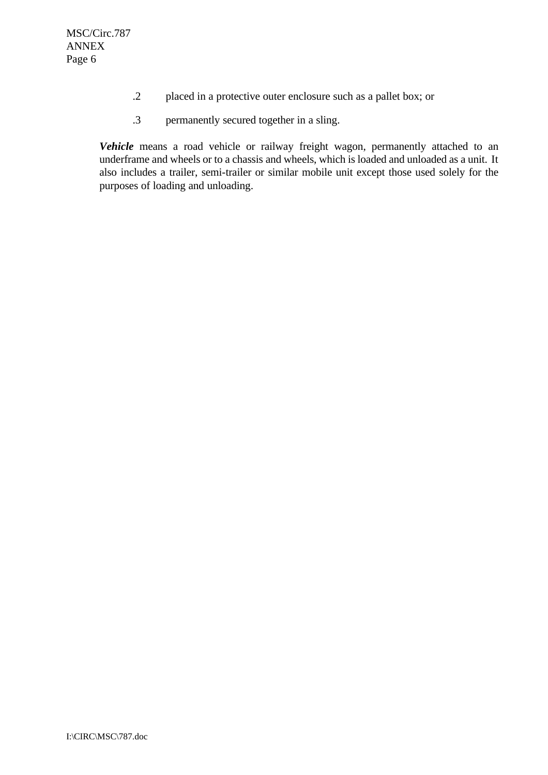- .2 placed in a protective outer enclosure such as a pallet box; or
- .3 permanently secured together in a sling.

*Vehicle* means a road vehicle or railway freight wagon, permanently attached to an underframe and wheels or to a chassis and wheels, which is loaded and unloaded as a unit. It also includes a trailer, semi-trailer or similar mobile unit except those used solely for the purposes of loading and unloading.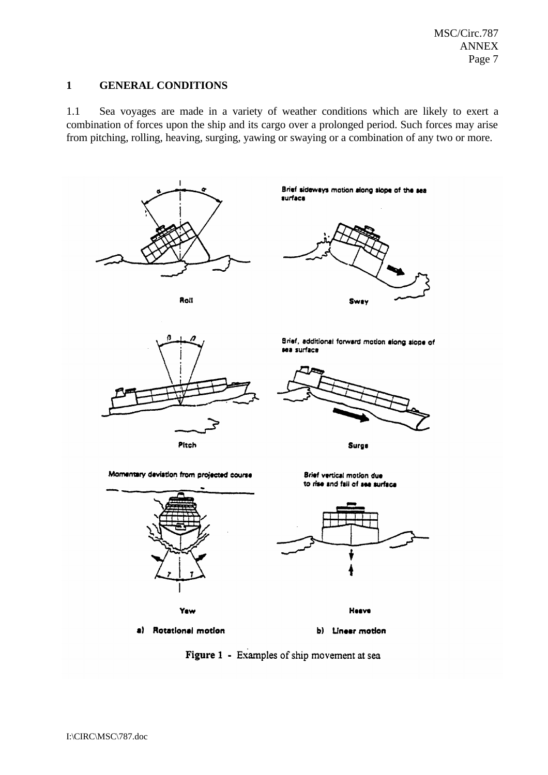#### **1 GENERAL CONDITIONS**

1.1 Sea voyages are made in a variety of weather conditions which are likely to exert a combination of forces upon the ship and its cargo over a prolonged period. Such forces may arise from pitching, rolling, heaving, surging, yawing or swaying or a combination of any two or more.



Figure 1 - Examples of ship movement at sea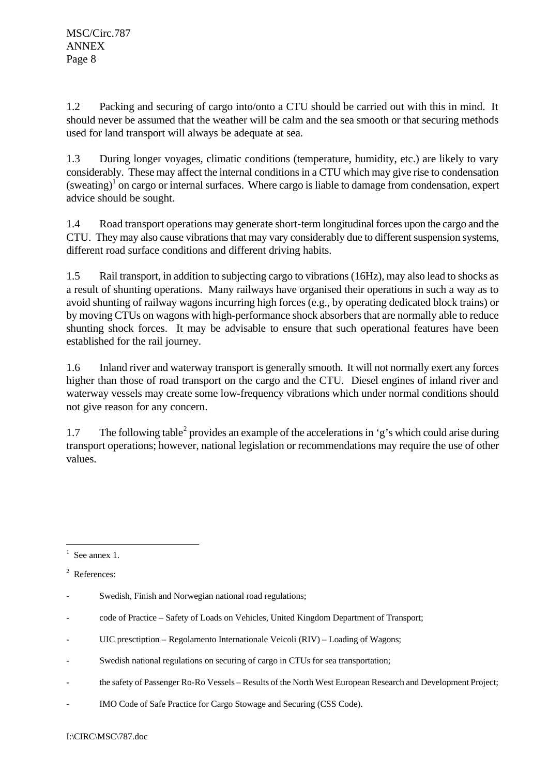1.2 Packing and securing of cargo into/onto a CTU should be carried out with this in mind. It should never be assumed that the weather will be calm and the sea smooth or that securing methods used for land transport will always be adequate at sea.

1.3 During longer voyages, climatic conditions (temperature, humidity, etc.) are likely to vary considerably. These may affect the internal conditions in a CTU which may give rise to condensation (sweating)<sup>1</sup> on cargo or internal surfaces. Where cargo is liable to damage from condensation, expert advice should be sought.

1.4 Road transport operations may generate short-term longitudinal forces upon the cargo and the CTU. They may also cause vibrations that may vary considerably due to different suspension systems, different road surface conditions and different driving habits.

1.5 Rail transport, in addition to subjecting cargo to vibrations (16Hz), may also lead to shocks as a result of shunting operations. Many railways have organised their operations in such a way as to avoid shunting of railway wagons incurring high forces (e.g., by operating dedicated block trains) or by moving CTUs on wagons with high-performance shock absorbers that are normally able to reduce shunting shock forces. It may be advisable to ensure that such operational features have been established for the rail journey.

1.6 Inland river and waterway transport is generally smooth. It will not normally exert any forces higher than those of road transport on the cargo and the CTU. Diesel engines of inland river and waterway vessels may create some low-frequency vibrations which under normal conditions should not give reason for any concern.

1.7 The following table<sup>2</sup> provides an example of the accelerations in 'g's which could arise during transport operations; however, national legislation or recommendations may require the use of other values.

 $\overline{a}$ 

- code of Practice Safety of Loads on Vehicles, United Kingdom Department of Transport;
- UIC presctiption Regolamento Internationale Veicoli (RIV) Loading of Wagons;
- Swedish national regulations on securing of cargo in CTUs for sea transportation;
- the safety of Passenger Ro-Ro Vessels Results of the North West European Research and Development Project;
- IMO Code of Safe Practice for Cargo Stowage and Securing (CSS Code).

<sup>1</sup> See annex 1.

<sup>2</sup> References:

Swedish, Finish and Norwegian national road regulations;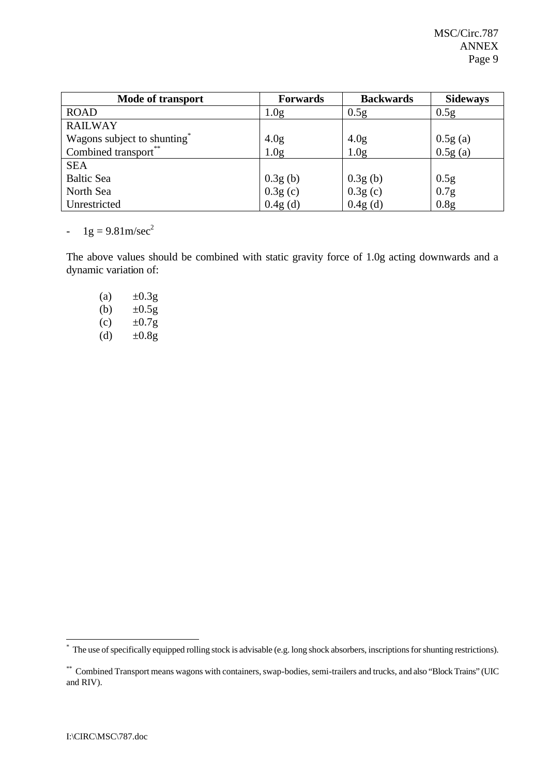| <b>Mode of transport</b>   | <b>Forwards</b>  | <b>Backwards</b> | <b>Sideways</b>        |
|----------------------------|------------------|------------------|------------------------|
| <b>ROAD</b>                | 1.0 <sub>g</sub> | 0.5g             | 0.5g                   |
| <b>RAILWAY</b>             |                  |                  |                        |
| Wagons subject to shunting | 4.0 <sub>g</sub> | 4.0 <sub>g</sub> |                        |
| Combined transport**       | 1.0 <sub>g</sub> | 1.0 <sub>g</sub> | $0.5g(a)$<br>$0.5g(a)$ |
| <b>SEA</b>                 |                  |                  |                        |
| <b>Baltic Sea</b>          | 0.3g(b)          | 0.3g(b)          | 0.5g                   |
| North Sea                  | 0.3g(c)          | 0.3g(c)          | 0.7g                   |
| Unrestricted               | $0.4g$ (d)       | $0.4g$ (d)       | 0.8 <sub>g</sub>       |

-  $1g = 9.81 \text{m/sec}^2$ 

The above values should be combined with static gravity force of 1.0g acting downwards and a dynamic variation of:

| (a) | $\pm 0.3$ g |
|-----|-------------|
| (b) | $\pm 0.5$ g |
| (c) | $\pm 0.7$ g |
| (d) | $\pm 0.8g$  |

 $\overline{a}$ 

<sup>\*</sup> The use of specifically equipped rolling stock is advisable (e.g. long shock absorbers, inscriptions for shunting restrictions).

<sup>\*\*</sup> Combined Transport means wagons with containers, swap-bodies, semi-trailers and trucks, and also "Block Trains" (UIC and RIV).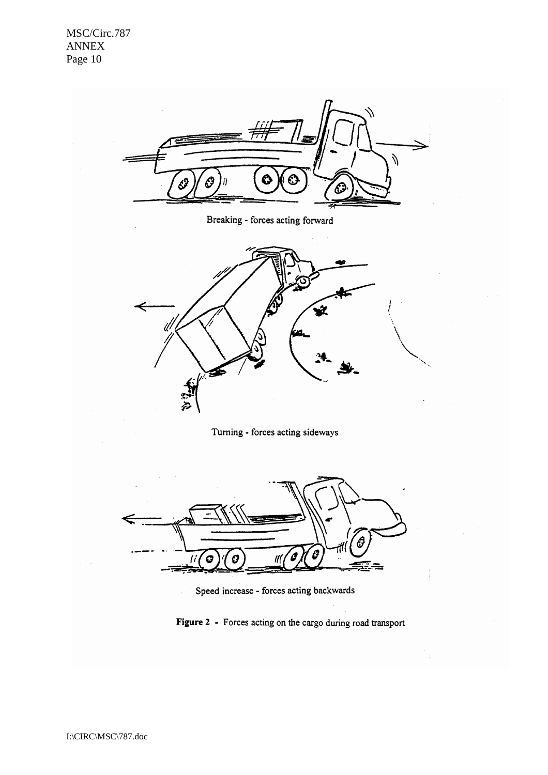



Speed increase - forces acting backwards

Figure 2 - Forces acting on the cargo during road transport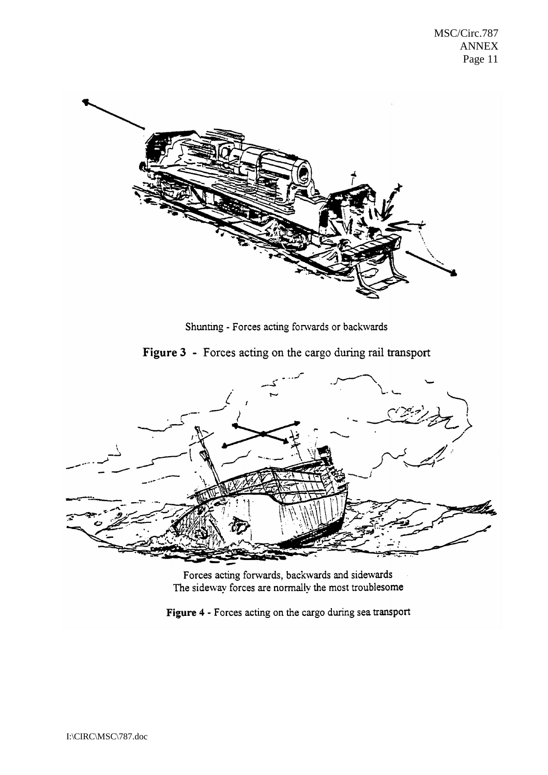

Shunting - Forces acting forwards or backwards

Figure 3 - Forces acting on the cargo during rail transport



Forces acting forwards, backwards and sidewards The sideway forces are normally the most troublesome

Figure 4 - Forces acting on the cargo during sea transport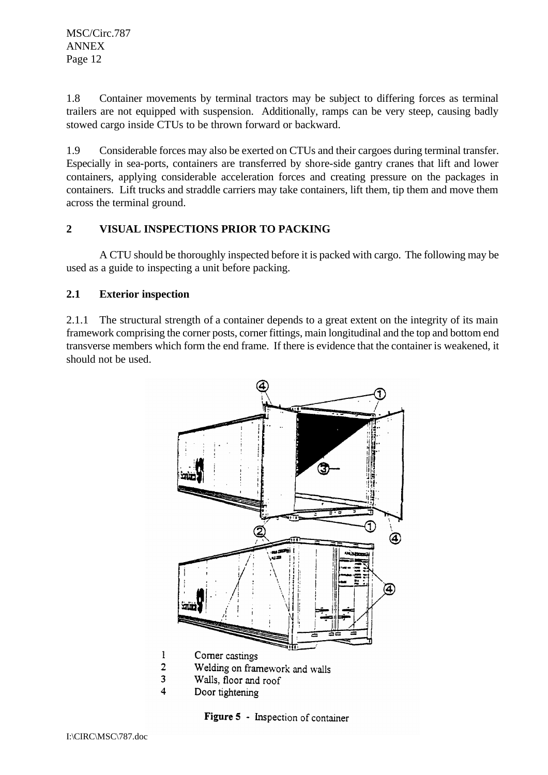1.8 Container movements by terminal tractors may be subject to differing forces as terminal trailers are not equipped with suspension. Additionally, ramps can be very steep, causing badly stowed cargo inside CTUs to be thrown forward or backward.

1.9 Considerable forces may also be exerted on CTUs and their cargoes during terminal transfer. Especially in sea-ports, containers are transferred by shore-side gantry cranes that lift and lower containers, applying considerable acceleration forces and creating pressure on the packages in containers. Lift trucks and straddle carriers may take containers, lift them, tip them and move them across the terminal ground.

# **2 VISUAL INSPECTIONS PRIOR TO PACKING**

A CTU should be thoroughly inspected before it is packed with cargo. The following may be used as a guide to inspecting a unit before packing.

## **2.1 Exterior inspection**

2.1.1 The structural strength of a container depends to a great extent on the integrity of its main framework comprising the corner posts, corner fittings, main longitudinal and the top and bottom end transverse members which form the end frame. If there is evidence that the container is weakened, it should not be used.



- $\mathbf{1}$ Corner castings
- Welding on framework and walls  $\overline{2}$
- Walls, floor and roof  $\overline{\mathbf{3}}$
- $\overline{4}$ Door tightening

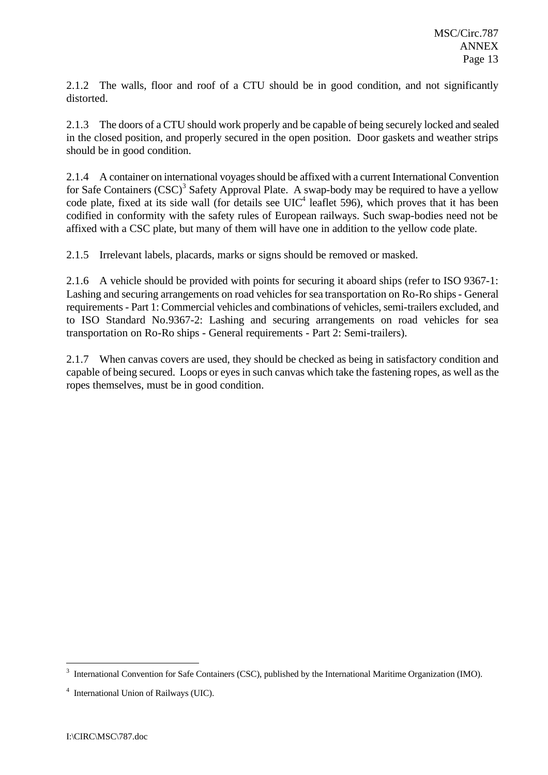2.1.2 The walls, floor and roof of a CTU should be in good condition, and not significantly distorted.

2.1.3 The doors of a CTU should work properly and be capable of being securely locked and sealed in the closed position, and properly secured in the open position. Door gaskets and weather strips should be in good condition.

2.1.4 A container on international voyages should be affixed with a current International Convention for Safe Containers (CSC)<sup>3</sup> Safety Approval Plate. A swap-body may be required to have a yellow code plate, fixed at its side wall (for details see  $\mathrm{UIC}^4$  leaflet 596), which proves that it has been codified in conformity with the safety rules of European railways. Such swap-bodies need not be affixed with a CSC plate, but many of them will have one in addition to the yellow code plate.

2.1.5 Irrelevant labels, placards, marks or signs should be removed or masked.

2.1.6 A vehicle should be provided with points for securing it aboard ships (refer to ISO 9367-1: Lashing and securing arrangements on road vehicles for sea transportation on Ro-Ro ships - General requirements - Part 1: Commercial vehicles and combinations of vehicles, semi-trailers excluded, and to ISO Standard No.9367-2: Lashing and securing arrangements on road vehicles for sea transportation on Ro-Ro ships - General requirements - Part 2: Semi-trailers).

2.1.7 When canvas covers are used, they should be checked as being in satisfactory condition and capable of being secured. Loops or eyes in such canvas which take the fastening ropes, as well as the ropes themselves, must be in good condition.

 $\overline{a}$ 

<sup>&</sup>lt;sup>3</sup> International Convention for Safe Containers (CSC), published by the International Maritime Organization (IMO).

<sup>4</sup> International Union of Railways (UIC).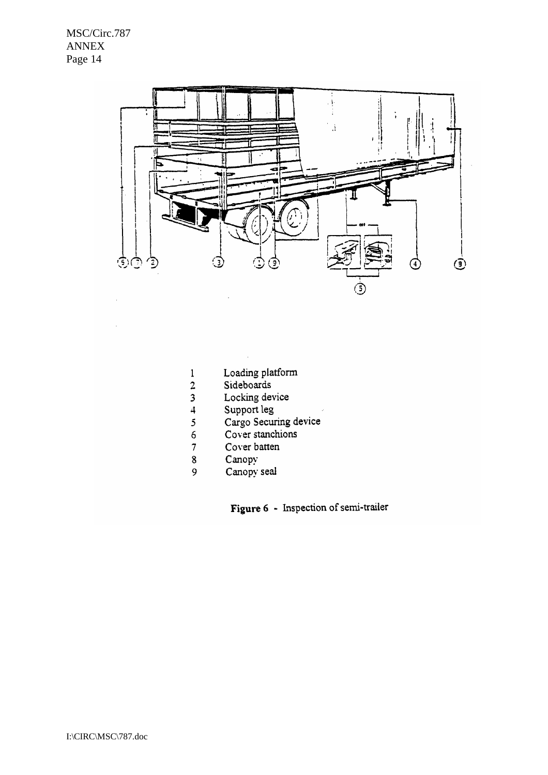

- Loading platform  $\mathbf{1}$
- Sideboards  $\overline{2}$
- Locking device  $\overline{\mathbf{3}}$
- $\overline{4}$ Support leg
- Cargo Securing device  $\overline{5}$
- Cover stanchions  $\epsilon$
- Cover batten  $\overline{7}$
- Canopy  $\bf{8}$
- Canopy seal  $\overline{9}$

Figure 6 - Inspection of semi-trailer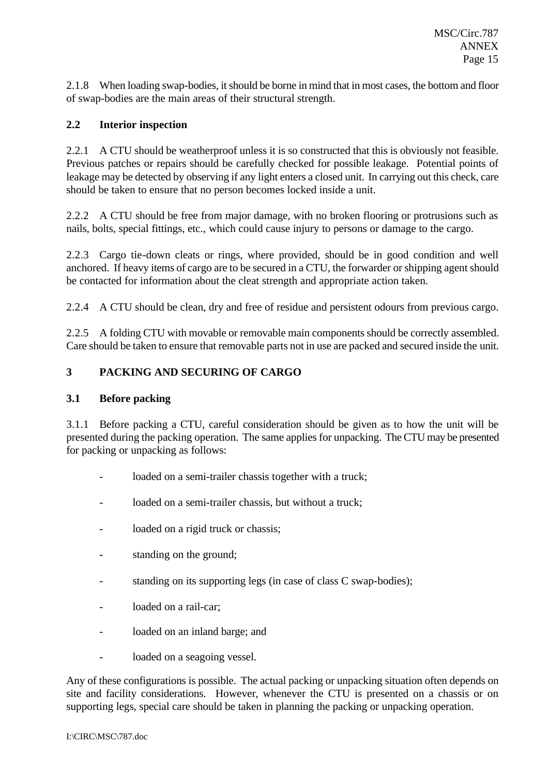2.1.8 When loading swap-bodies, it should be borne in mind that in most cases, the bottom and floor of swap-bodies are the main areas of their structural strength.

# **2.2 Interior inspection**

2.2.1 A CTU should be weatherproof unless it is so constructed that this is obviously not feasible. Previous patches or repairs should be carefully checked for possible leakage. Potential points of leakage may be detected by observing if any light enters a closed unit. In carrying out this check, care should be taken to ensure that no person becomes locked inside a unit.

2.2.2 A CTU should be free from major damage, with no broken flooring or protrusions such as nails, bolts, special fittings, etc., which could cause injury to persons or damage to the cargo.

2.2.3 Cargo tie-down cleats or rings, where provided, should be in good condition and well anchored. If heavy items of cargo are to be secured in a CTU, the forwarder or shipping agent should be contacted for information about the cleat strength and appropriate action taken.

2.2.4 A CTU should be clean, dry and free of residue and persistent odours from previous cargo.

2.2.5 A folding CTU with movable or removable main components should be correctly assembled. Care should be taken to ensure that removable parts not in use are packed and secured inside the unit.

# **3 PACKING AND SECURING OF CARGO**

## **3.1 Before packing**

3.1.1 Before packing a CTU, careful consideration should be given as to how the unit will be presented during the packing operation. The same applies for unpacking. The CTU may be presented for packing or unpacking as follows:

- loaded on a semi-trailer chassis together with a truck;
- loaded on a semi-trailer chassis, but without a truck;
- loaded on a rigid truck or chassis;
- standing on the ground;
- standing on its supporting legs (in case of class C swap-bodies);
- loaded on a rail-car:
- loaded on an inland barge; and
- loaded on a seagoing vessel.

Any of these configurations is possible. The actual packing or unpacking situation often depends on site and facility considerations. However, whenever the CTU is presented on a chassis or on supporting legs, special care should be taken in planning the packing or unpacking operation.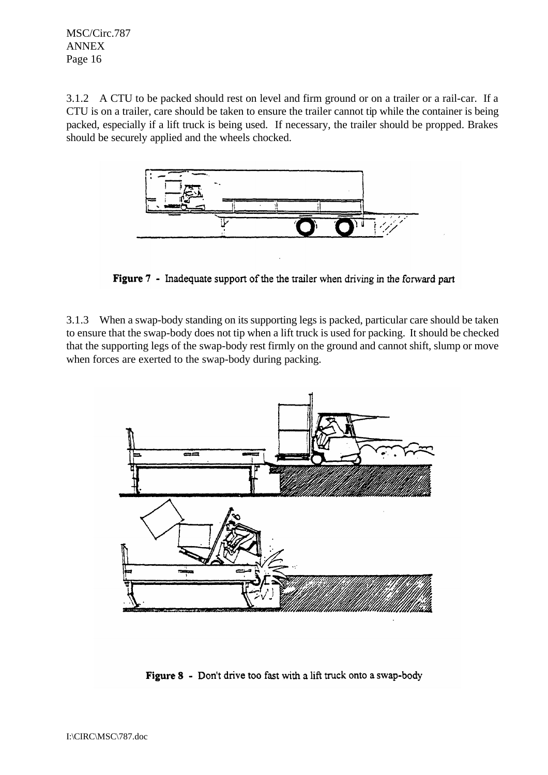3.1.2 A CTU to be packed should rest on level and firm ground or on a trailer or a rail-car. If a CTU is on a trailer, care should be taken to ensure the trailer cannot tip while the container is being packed, especially if a lift truck is being used. If necessary, the trailer should be propped. Brakes should be securely applied and the wheels chocked.



Figure 7 - Inadequate support of the the trailer when driving in the forward part

3.1.3 When a swap-body standing on its supporting legs is packed, particular care should be taken to ensure that the swap-body does not tip when a lift truck is used for packing. It should be checked that the supporting legs of the swap-body rest firmly on the ground and cannot shift, slump or move when forces are exerted to the swap-body during packing.



Figure 8 - Don't drive too fast with a lift truck onto a swap-body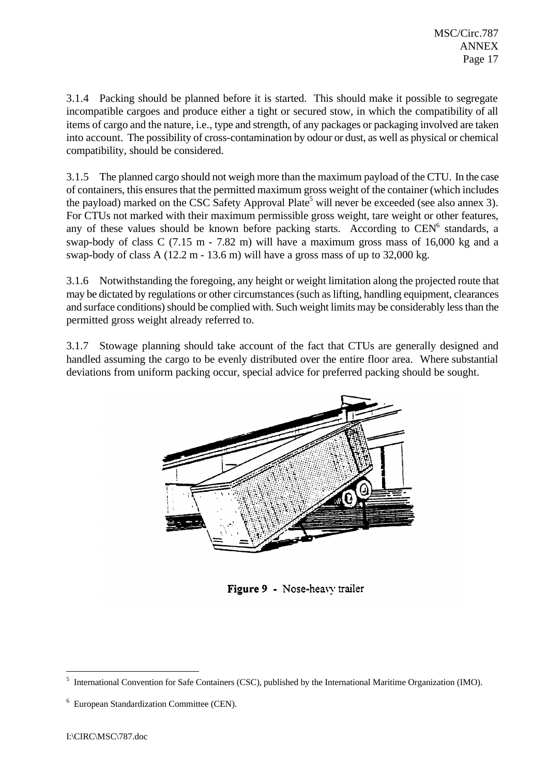3.1.4 Packing should be planned before it is started. This should make it possible to segregate incompatible cargoes and produce either a tight or secured stow, in which the compatibility of all items of cargo and the nature, i.e., type and strength, of any packages or packaging involved are taken into account. The possibility of cross-contamination by odour or dust, as well as physical or chemical compatibility, should be considered.

3.1.5 The planned cargo should not weigh more than the maximum payload of the CTU. In the case of containers, this ensures that the permitted maximum gross weight of the container (which includes the payload) marked on the CSC Safety Approval Plate<sup>5</sup> will never be exceeded (see also annex 3). For CTUs not marked with their maximum permissible gross weight, tare weight or other features, any of these values should be known before packing starts. According to  $CEN<sup>6</sup>$  standards, a swap-body of class C (7.15 m - 7.82 m) will have a maximum gross mass of 16,000 kg and a swap-body of class A (12.2 m - 13.6 m) will have a gross mass of up to 32,000 kg.

3.1.6 Notwithstanding the foregoing, any height or weight limitation along the projected route that may be dictated by regulations or other circumstances (such as lifting, handling equipment, clearances and surface conditions) should be complied with. Such weight limits may be considerably less than the permitted gross weight already referred to.

3.1.7 Stowage planning should take account of the fact that CTUs are generally designed and handled assuming the cargo to be evenly distributed over the entire floor area. Where substantial deviations from uniform packing occur, special advice for preferred packing should be sought.



Figure 9 - Nose-heavy trailer

 $\overline{a}$ 

<sup>5</sup> International Convention for Safe Containers (CSC), published by the International Maritime Organization (IMO).

<sup>6</sup> European Standardization Committee (CEN).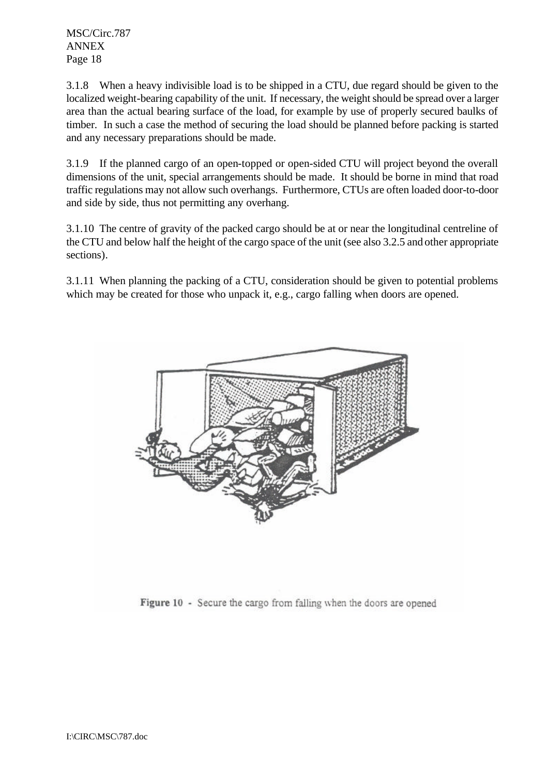3.1.8 When a heavy indivisible load is to be shipped in a CTU, due regard should be given to the localized weight-bearing capability of the unit. If necessary, the weight should be spread over a larger area than the actual bearing surface of the load, for example by use of properly secured baulks of timber. In such a case the method of securing the load should be planned before packing is started and any necessary preparations should be made.

3.1.9 If the planned cargo of an open-topped or open-sided CTU will project beyond the overall dimensions of the unit, special arrangements should be made. It should be borne in mind that road traffic regulations may not allow such overhangs. Furthermore, CTUs are often loaded door-to-door and side by side, thus not permitting any overhang.

3.1.10 The centre of gravity of the packed cargo should be at or near the longitudinal centreline of the CTU and below half the height of the cargo space of the unit (see also 3.2.5 and other appropriate sections).

3.1.11 When planning the packing of a CTU, consideration should be given to potential problems which may be created for those who unpack it, e.g., cargo falling when doors are opened.



Figure 10 - Secure the cargo from falling when the doors are opened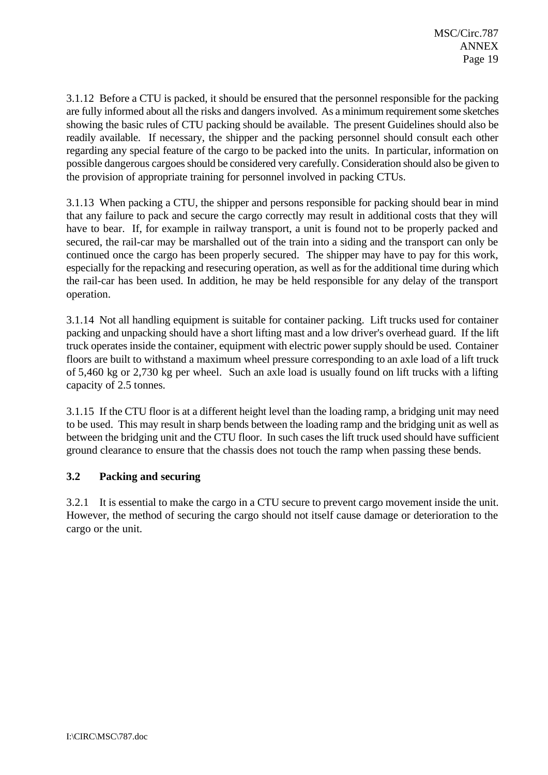3.1.12 Before a CTU is packed, it should be ensured that the personnel responsible for the packing are fully informed about all the risks and dangers involved. As a minimum requirement some sketches showing the basic rules of CTU packing should be available. The present Guidelines should also be readily available. If necessary, the shipper and the packing personnel should consult each other regarding any special feature of the cargo to be packed into the units. In particular, information on possible dangerous cargoes should be considered very carefully. Consideration should also be given to the provision of appropriate training for personnel involved in packing CTUs.

3.1.13 When packing a CTU, the shipper and persons responsible for packing should bear in mind that any failure to pack and secure the cargo correctly may result in additional costs that they will have to bear. If, for example in railway transport, a unit is found not to be properly packed and secured, the rail-car may be marshalled out of the train into a siding and the transport can only be continued once the cargo has been properly secured. The shipper may have to pay for this work, especially for the repacking and resecuring operation, as well as for the additional time during which the rail-car has been used. In addition, he may be held responsible for any delay of the transport operation.

3.1.14 Not all handling equipment is suitable for container packing. Lift trucks used for container packing and unpacking should have a short lifting mast and a low driver's overhead guard. If the lift truck operates inside the container, equipment with electric power supply should be used. Container floors are built to withstand a maximum wheel pressure corresponding to an axle load of a lift truck of 5,460 kg or 2,730 kg per wheel. Such an axle load is usually found on lift trucks with a lifting capacity of 2.5 tonnes.

3.1.15 If the CTU floor is at a different height level than the loading ramp, a bridging unit may need to be used. This may result in sharp bends between the loading ramp and the bridging unit as well as between the bridging unit and the CTU floor. In such cases the lift truck used should have sufficient ground clearance to ensure that the chassis does not touch the ramp when passing these bends.

## **3.2 Packing and securing**

3.2.1 It is essential to make the cargo in a CTU secure to prevent cargo movement inside the unit. However, the method of securing the cargo should not itself cause damage or deterioration to the cargo or the unit.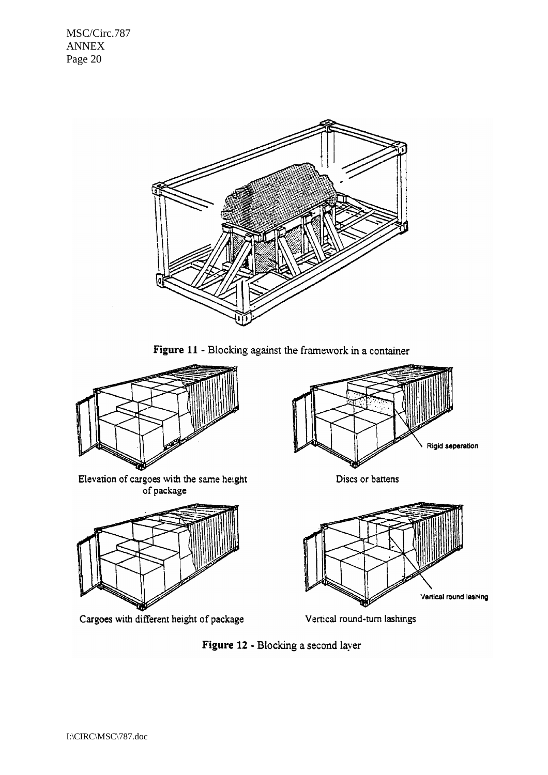

Figure 12 - Blocking a second layer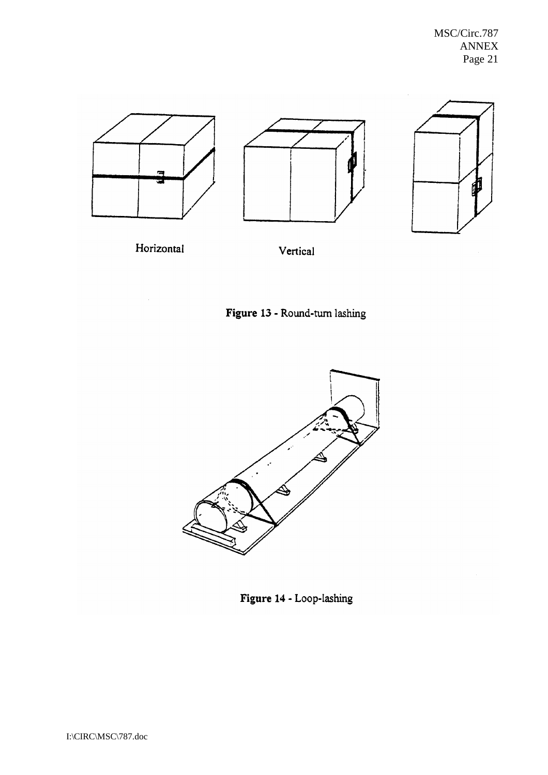

Horizontal

Vertical





Figure 14 - Loop-lashing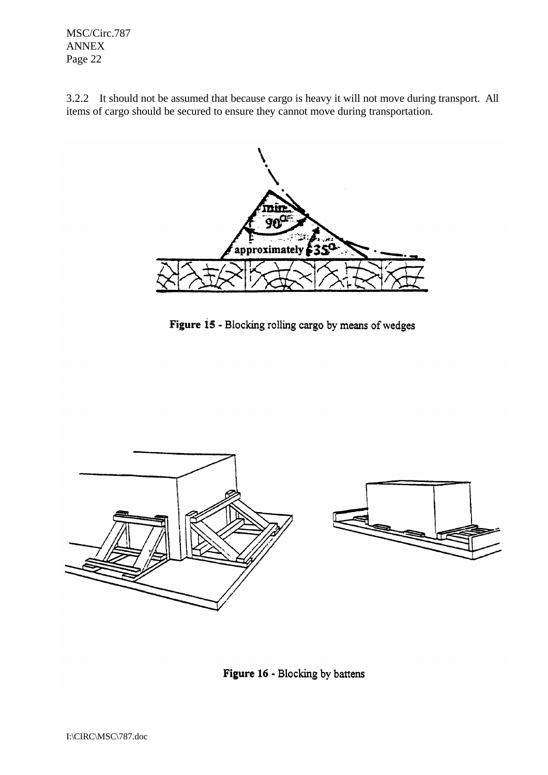3.2.2 It should not be assumed that because cargo is heavy it will not move during transport. All items of cargo should be secured to ensure they cannot move during transportation.

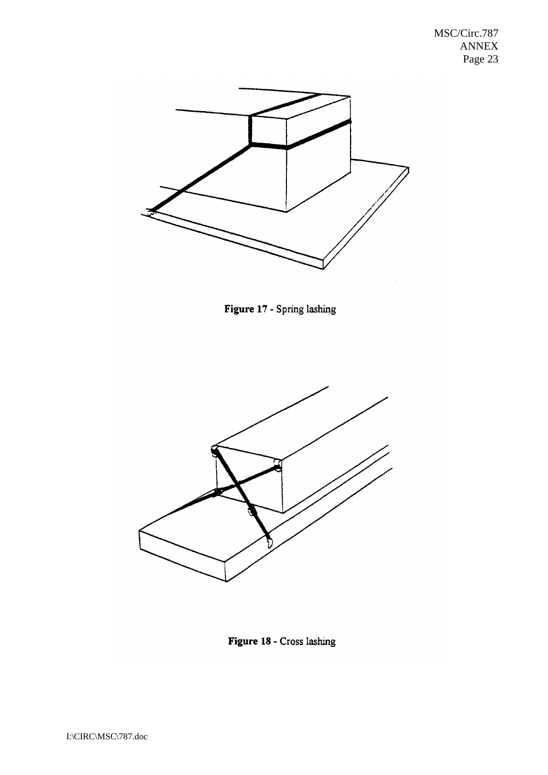

Figure 17 - Spring lashing



Figure 18 - Cross lashing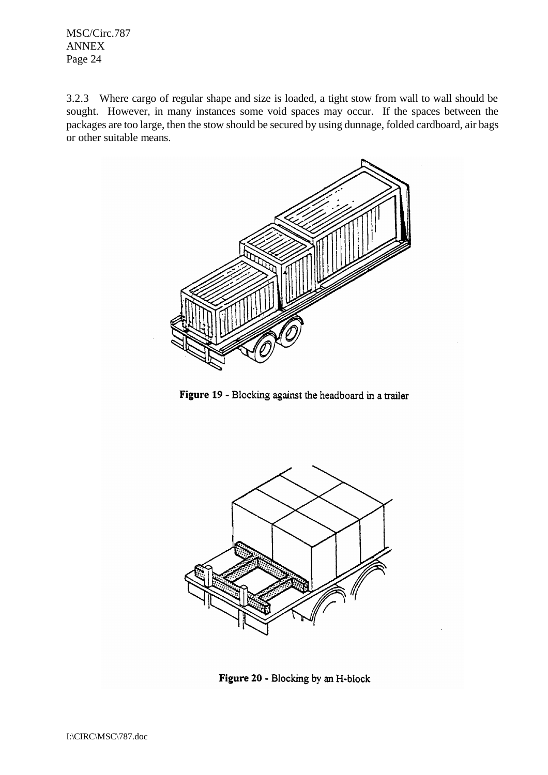3.2.3 Where cargo of regular shape and size is loaded, a tight stow from wall to wall should be sought. However, in many instances some void spaces may occur. If the spaces between the packages are too large, then the stow should be secured by using dunnage, folded cardboard, air bags or other suitable means.



Figure 19 - Blocking against the headboard in a trailer



Figure 20 - Blocking by an H-block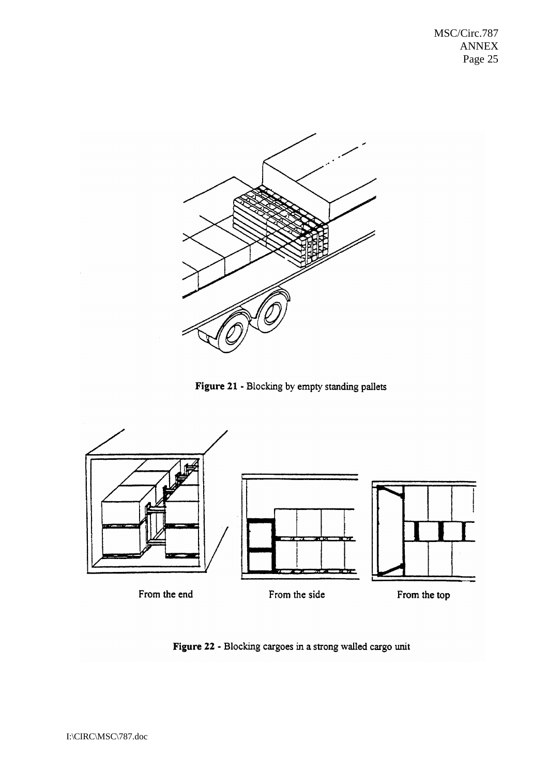

Figure 21 - Blocking by empty standing pallets



Figure 22 - Blocking cargoes in a strong walled cargo unit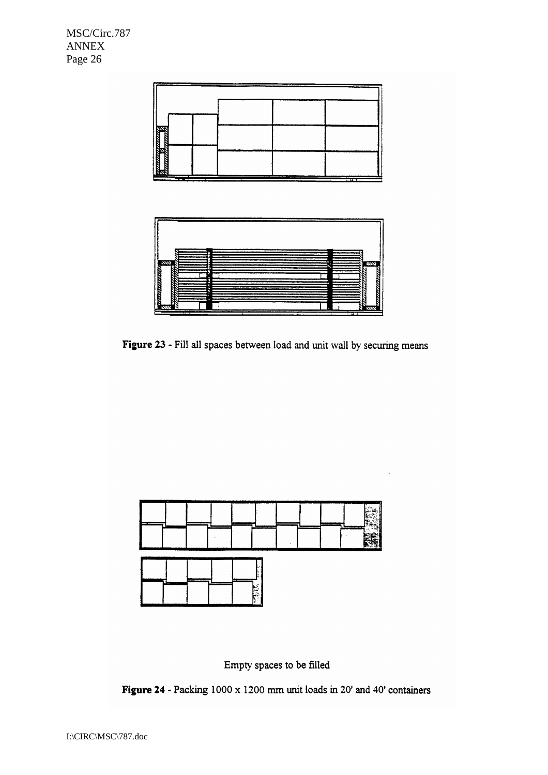



Figure 23 - Fill all spaces between load and unit wall by securing means





Figure 24 - Packing 1000 x 1200 mm unit loads in 20' and 40' containers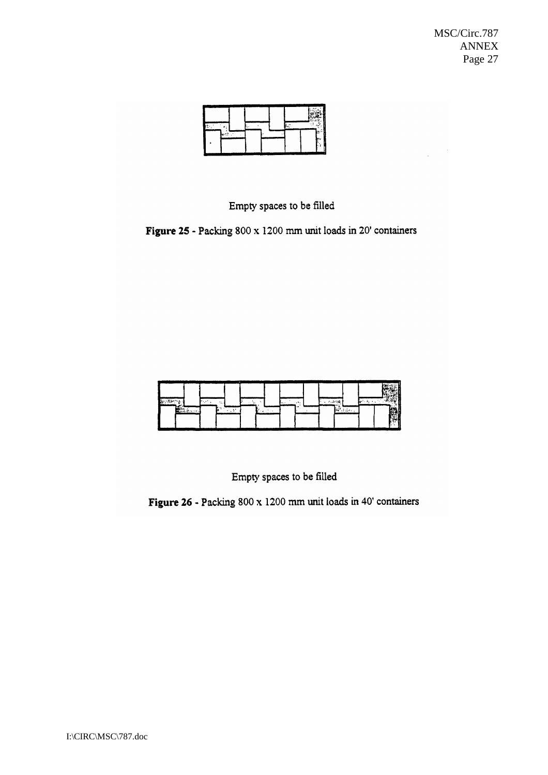

Empty spaces to be filled

Figure 25 - Packing 800 x 1200 mm unit loads in 20' containers

|  | $\cdot$ .<br>$\cdots$ | <b>Lucian</b> |
|--|-----------------------|---------------|
|--|-----------------------|---------------|

Empty spaces to be filled

Figure 26 - Packing  $800 \times 1200$  mm unit loads in 40' containers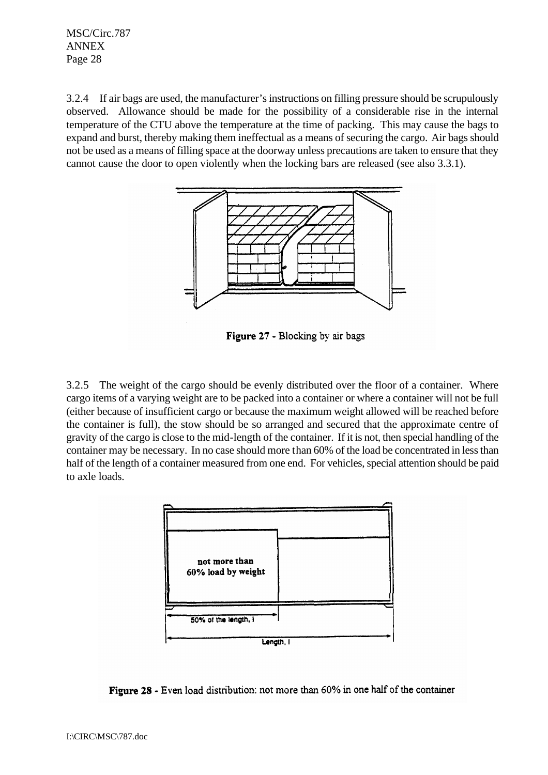3.2.4 If air bags are used, the manufacturer's instructions on filling pressure should be scrupulously observed. Allowance should be made for the possibility of a considerable rise in the internal temperature of the CTU above the temperature at the time of packing. This may cause the bags to expand and burst, thereby making them ineffectual as a means of securing the cargo. Air bags should not be used as a means of filling space at the doorway unless precautions are taken to ensure that they cannot cause the door to open violently when the locking bars are released (see also 3.3.1).



Figure 27 - Blocking by air bags

3.2.5 The weight of the cargo should be evenly distributed over the floor of a container. Where cargo items of a varying weight are to be packed into a container or where a container will not be full (either because of insufficient cargo or because the maximum weight allowed will be reached before the container is full), the stow should be so arranged and secured that the approximate centre of gravity of the cargo is close to the mid-length of the container. If it is not, then special handling of the container may be necessary. In no case should more than 60% of the load be concentrated in less than half of the length of a container measured from one end. For vehicles, special attention should be paid to axle loads.



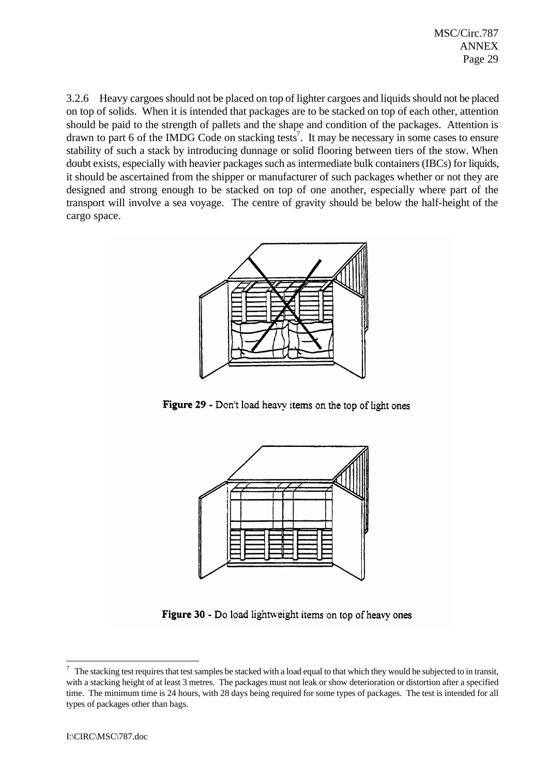3.2.6 Heavy cargoes should not be placed on top of lighter cargoes and liquids should not be placed on top of solids. When it is intended that packages are to be stacked on top of each other, attention should be paid to the strength of pallets and the shape and condition of the packages. Attention is drawn to part 6 of the IMDG Code on stacking tests<sup>7</sup>. It may be necessary in some cases to ensure stability of such a stack by introducing dunnage or solid flooring between tiers of the stow. When doubt exists, especially with heavier packages such as intermediate bulk containers (IBCs) for liquids, it should be ascertained from the shipper or manufacturer of such packages whether or not they are designed and strong enough to be stacked on top of one another, especially where part of the transport will involve a sea voyage. The centre of gravity should be below the half-height of the cargo space.



Figure 29 - Don't load heavy items on the top of light ones



Figure 30 - Do load lightweight items on top of heavy ones

 $\overline{a}$ 

<sup>7</sup> The stacking test requires that test samples be stacked with a load equal to that which they would be subjected to in transit, with a stacking height of at least 3 metres. The packages must not leak or show deterioration or distortion after a specified time. The minimum time is 24 hours, with 28 days being required for some types of packages. The test is intended for all types of packages other than bags.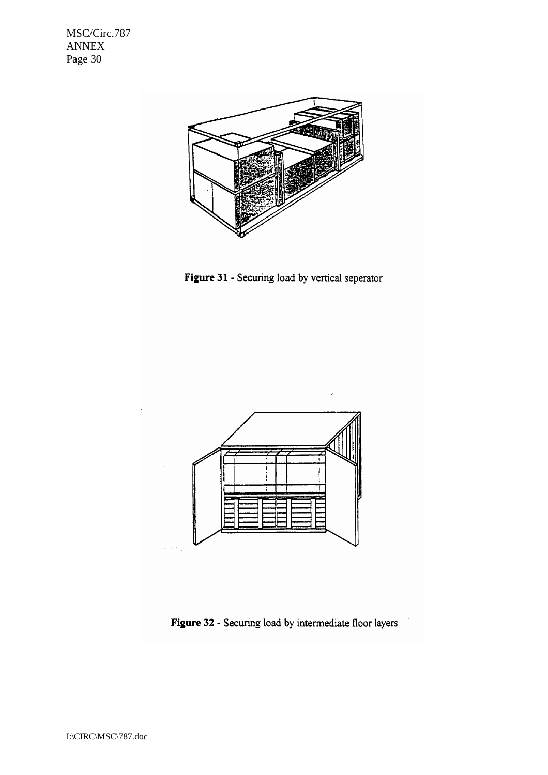

Figure 31 - Securing load by vertical seperator



Figure 32 - Securing load by intermediate floor layers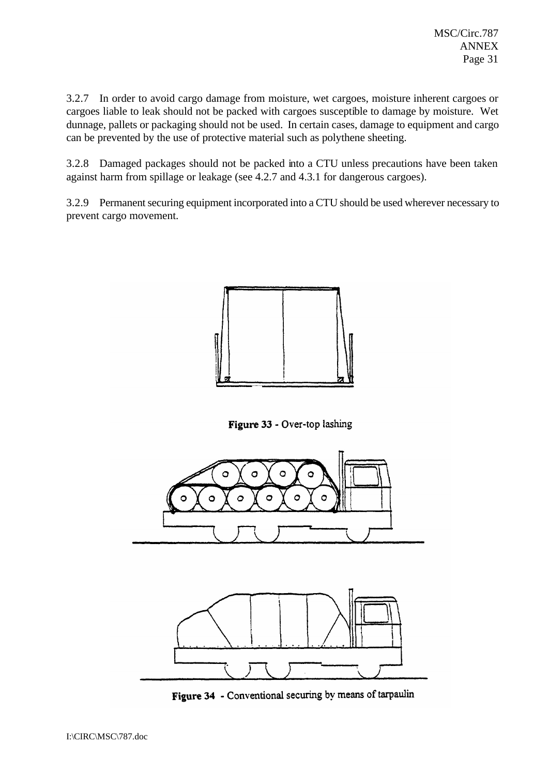3.2.7 In order to avoid cargo damage from moisture, wet cargoes, moisture inherent cargoes or cargoes liable to leak should not be packed with cargoes susceptible to damage by moisture. Wet dunnage, pallets or packaging should not be used. In certain cases, damage to equipment and cargo can be prevented by the use of protective material such as polythene sheeting.

3.2.8 Damaged packages should not be packed into a CTU unless precautions have been taken against harm from spillage or leakage (see 4.2.7 and 4.3.1 for dangerous cargoes).

3.2.9 Permanent securing equipment incorporated into a CTU should be used wherever necessary to prevent cargo movement.



Figure 34 - Conventional securing by means of tarpaulin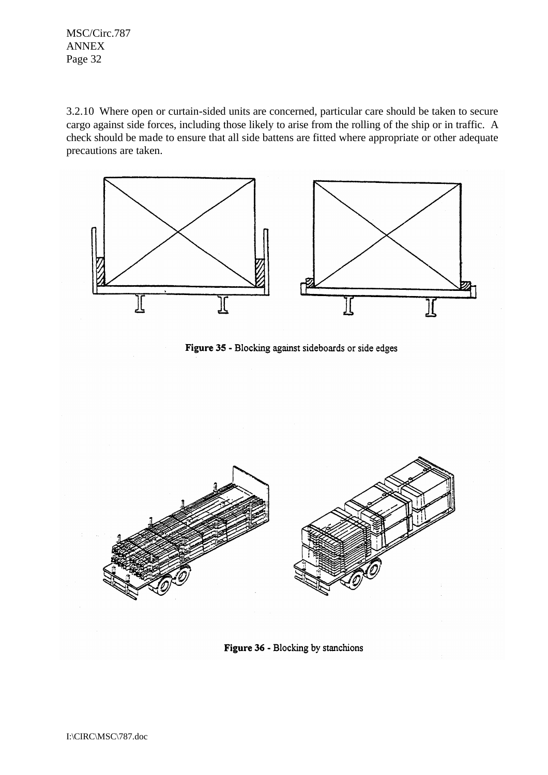3.2.10 Where open or curtain-sided units are concerned, particular care should be taken to secure cargo against side forces, including those likely to arise from the rolling of the ship or in traffic. A check should be made to ensure that all side battens are fitted where appropriate or other adequate precautions are taken.



Figure 35 - Blocking against sideboards or side edges



Figure 36 - Blocking by stanchions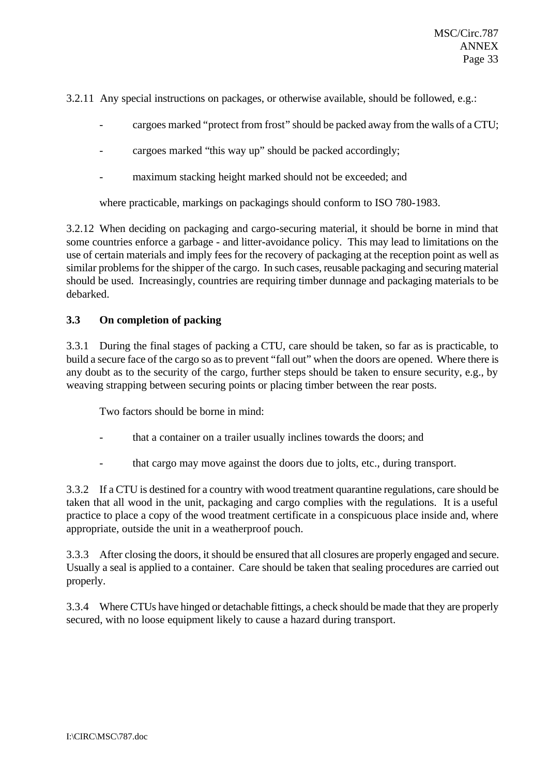3.2.11 Any special instructions on packages, or otherwise available, should be followed, e.g.:

- cargoes marked "protect from frost" should be packed away from the walls of a CTU;
- cargoes marked "this way up" should be packed accordingly;
- maximum stacking height marked should not be exceeded; and

where practicable, markings on packagings should conform to ISO 780-1983.

3.2.12 When deciding on packaging and cargo-securing material, it should be borne in mind that some countries enforce a garbage - and litter-avoidance policy. This may lead to limitations on the use of certain materials and imply fees for the recovery of packaging at the reception point as well as similar problems for the shipper of the cargo. In such cases, reusable packaging and securing material should be used. Increasingly, countries are requiring timber dunnage and packaging materials to be debarked.

## **3.3 On completion of packing**

3.3.1 During the final stages of packing a CTU, care should be taken, so far as is practicable, to build a secure face of the cargo so as to prevent "fall out" when the doors are opened. Where there is any doubt as to the security of the cargo, further steps should be taken to ensure security, e.g., by weaving strapping between securing points or placing timber between the rear posts.

Two factors should be borne in mind:

- that a container on a trailer usually inclines towards the doors; and
- that cargo may move against the doors due to jolts, etc., during transport.

3.3.2 If a CTU is destined for a country with wood treatment quarantine regulations, care should be taken that all wood in the unit, packaging and cargo complies with the regulations. It is a useful practice to place a copy of the wood treatment certificate in a conspicuous place inside and, where appropriate, outside the unit in a weatherproof pouch.

3.3.3 After closing the doors, it should be ensured that all closures are properly engaged and secure. Usually a seal is applied to a container. Care should be taken that sealing procedures are carried out properly.

3.3.4 Where CTUs have hinged or detachable fittings, a check should be made that they are properly secured, with no loose equipment likely to cause a hazard during transport.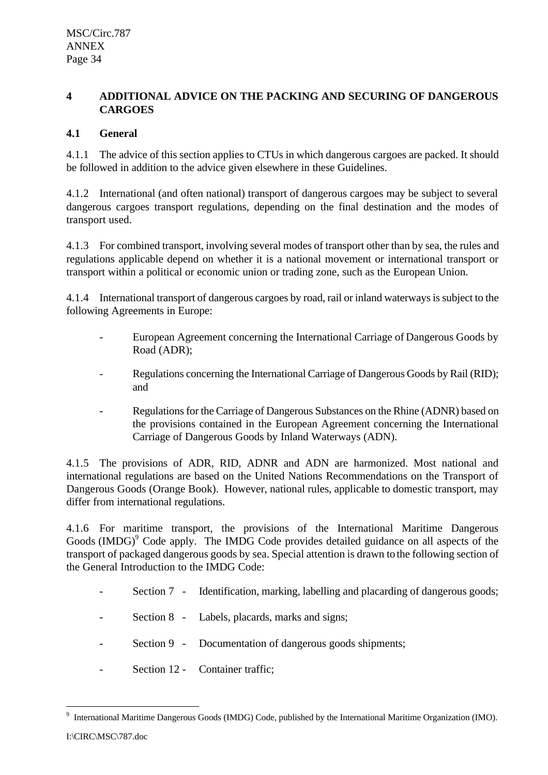# **4 ADDITIONAL ADVICE ON THE PACKING AND SECURING OF DANGEROUS CARGOES**

# **4.1 General**

4.1.1 The advice of this section applies to CTUs in which dangerous cargoes are packed. It should be followed in addition to the advice given elsewhere in these Guidelines.

4.1.2 International (and often national) transport of dangerous cargoes may be subject to several dangerous cargoes transport regulations, depending on the final destination and the modes of transport used.

4.1.3 For combined transport, involving several modes of transport other than by sea, the rules and regulations applicable depend on whether it is a national movement or international transport or transport within a political or economic union or trading zone, such as the European Union.

4.1.4 International transport of dangerous cargoes by road, rail or inland waterways is subject to the following Agreements in Europe:

- European Agreement concerning the International Carriage of Dangerous Goods by Road (ADR);
- Regulations concerning the International Carriage of Dangerous Goods by Rail (RID); and
- Regulations for the Carriage of Dangerous Substances on the Rhine (ADNR) based on the provisions contained in the European Agreement concerning the International Carriage of Dangerous Goods by Inland Waterways (ADN).

4.1.5 The provisions of ADR, RID, ADNR and ADN are harmonized. Most national and international regulations are based on the United Nations Recommendations on the Transport of Dangerous Goods (Orange Book). However, national rules, applicable to domestic transport, may differ from international regulations.

4.1.6 For maritime transport, the provisions of the International Maritime Dangerous Goods (IMDG)<sup>9</sup> Code apply. The IMDG Code provides detailed guidance on all aspects of the transport of packaged dangerous goods by sea. Special attention is drawn to the following section of the General Introduction to the IMDG Code:

- Section 7 Identification, marking, labelling and placarding of dangerous goods;
- Section 8 Labels, placards, marks and signs;
- Section 9 Documentation of dangerous goods shipments:
- Section 12 Container traffic;

 9 International Maritime Dangerous Goods (IMDG) Code, published by the International Maritime Organization (IMO).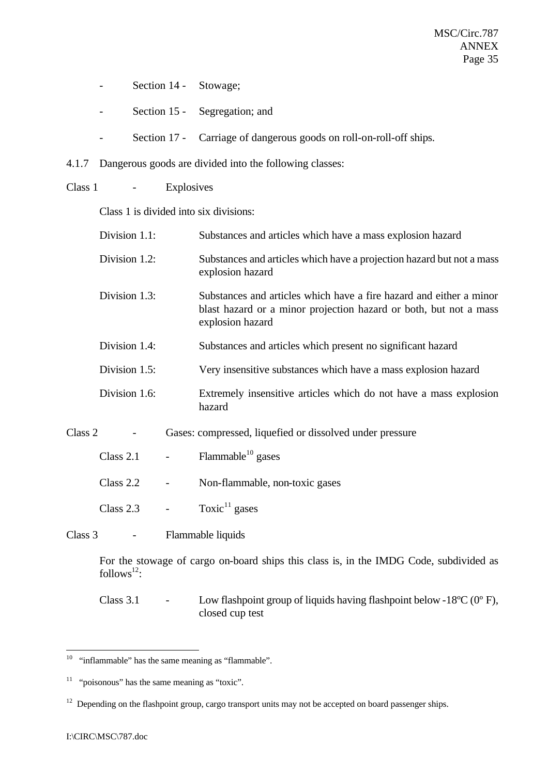- Section 14 Stowage;
- Section 15 Segregation; and
- Section 17 Carriage of dangerous goods on roll-on-roll-off ships.
- 4.1.7 Dangerous goods are divided into the following classes:
- Class 1 Explosives

Class 1 is divided into six divisions:

|                                                                                                                   | Division 1.1:            |                          | Substances and articles which have a mass explosion hazard                                                                                                   |
|-------------------------------------------------------------------------------------------------------------------|--------------------------|--------------------------|--------------------------------------------------------------------------------------------------------------------------------------------------------------|
|                                                                                                                   | Division 1.2:            |                          | Substances and articles which have a projection hazard but not a mass<br>explosion hazard                                                                    |
|                                                                                                                   | Division 1.3:            |                          | Substances and articles which have a fire hazard and either a minor<br>blast hazard or a minor projection hazard or both, but not a mass<br>explosion hazard |
|                                                                                                                   | Division 1.4:            |                          | Substances and articles which present no significant hazard                                                                                                  |
|                                                                                                                   | Division 1.5:            |                          | Very insensitive substances which have a mass explosion hazard                                                                                               |
|                                                                                                                   | Division 1.6:            |                          | Extremely insensitive articles which do not have a mass explosion<br>hazard                                                                                  |
| Class 2                                                                                                           |                          |                          | Gases: compressed, liquefied or dissolved under pressure                                                                                                     |
|                                                                                                                   | Class 2.1                |                          | Flammable <sup>10</sup> gases                                                                                                                                |
|                                                                                                                   | Class 2.2                | $\overline{\phantom{a}}$ | Non-flammable, non-toxic gases                                                                                                                               |
|                                                                                                                   | Class 2.3                |                          | Toxic $11$ gases                                                                                                                                             |
| Class 3                                                                                                           | $\overline{\phantom{a}}$ |                          | Flammable liquids                                                                                                                                            |
| For the stowage of cargo on-board ships this class is, in the IMDG Code, subdivided as<br>follows <sup>12</sup> : |                          |                          |                                                                                                                                                              |

Class 3.1 - Low flashpoint group of liquids having flashpoint below -18 $^{\circ}$ C (0 $^{\circ}$  F), closed cup test

 $\overline{a}$ 

 $10$  "inflammable" has the same meaning as "flammable".

 $11$  "poisonous" has the same meaning as "toxic".

<sup>&</sup>lt;sup>12</sup> Depending on the flashpoint group, cargo transport units may not be accepted on board passenger ships.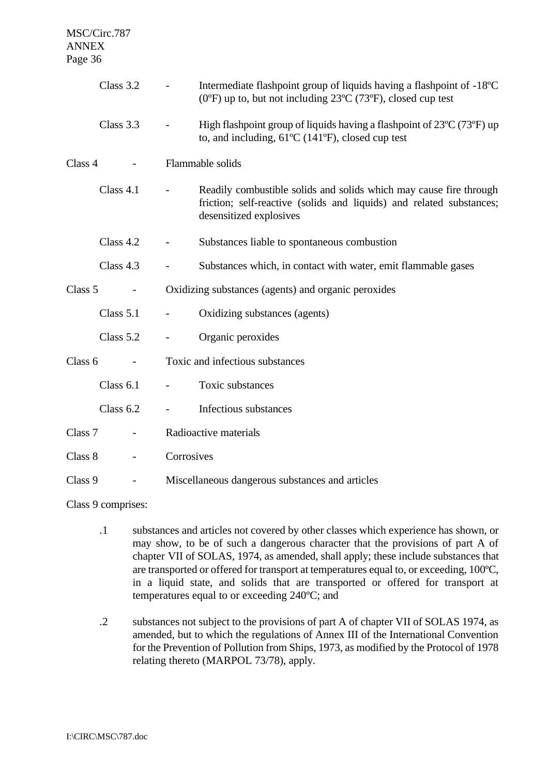MSC/Circ.787 ANNEX Page 36 Class 3.2 - Intermediate flashpoint group of liquids having a flashpoint of -18<sup>o</sup>C ( $0^{\circ}$ F) up to, but not including 23 $^{\circ}$ C (73 $^{\circ}$ F), closed cup test Class 3.3 - High flashpoint group of liquids having a flashpoint of  $23^{\circ}C(73^{\circ}F)$  up to, and including, 61ºC (141ºF), closed cup test Class 4 - Flammable solids Class 4.1 - Readily combustible solids and solids which may cause fire through friction; self-reactive (solids and liquids) and related substances; desensitized explosives Class 4.2 - Substances liable to spontaneous combustion Class 4.3 - Substances which, in contact with water, emit flammable gases Class 5 - Oxidizing substances (agents) and organic peroxides Class 5.1 - Oxidizing substances (agents) Class 5.2 - Organic peroxides Class 6 - Toxic and infectious substances Class 6.1 - Toxic substances Class 6.2 - Infectious substances Class 7 - Radioactive materials Class 8 - Corrosives Class 9 - Miscellaneous dangerous substances and articles

Class 9 comprises:

- .1 substances and articles not covered by other classes which experience has shown, or may show, to be of such a dangerous character that the provisions of part A of chapter VII of SOLAS, 1974, as amended, shall apply; these include substances that are transported or offered for transport at temperatures equal to, or exceeding, 100ºC, in a liquid state, and solids that are transported or offered for transport at temperatures equal to or exceeding 240ºC; and
- .2 substances not subject to the provisions of part A of chapter VII of SOLAS 1974, as amended, but to which the regulations of Annex III of the International Convention for the Prevention of Pollution from Ships, 1973, as modified by the Protocol of 1978 relating thereto (MARPOL 73/78), apply.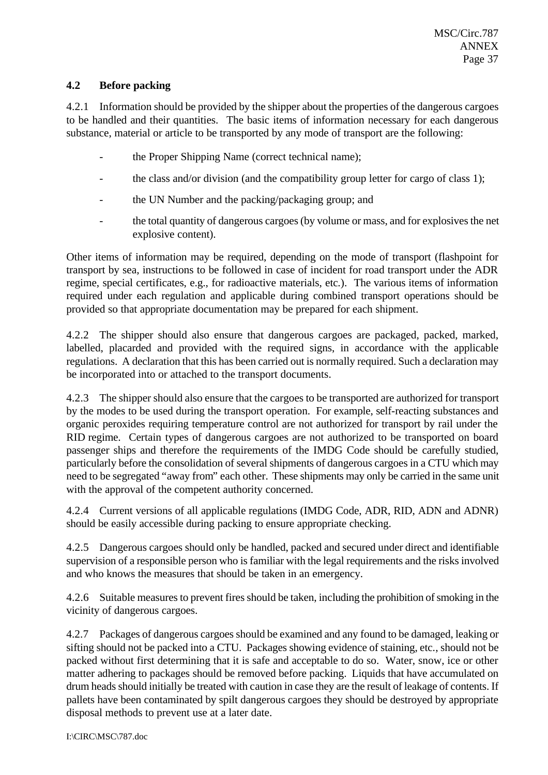## **4.2 Before packing**

4.2.1 Information should be provided by the shipper about the properties of the dangerous cargoes to be handled and their quantities. The basic items of information necessary for each dangerous substance, material or article to be transported by any mode of transport are the following:

- the Proper Shipping Name (correct technical name);
- the class and/or division (and the compatibility group letter for cargo of class 1);
- the UN Number and the packing/packaging group; and
- the total quantity of dangerous cargoes (by volume or mass, and for explosives the net explosive content).

Other items of information may be required, depending on the mode of transport (flashpoint for transport by sea, instructions to be followed in case of incident for road transport under the ADR regime, special certificates, e.g., for radioactive materials, etc.). The various items of information required under each regulation and applicable during combined transport operations should be provided so that appropriate documentation may be prepared for each shipment.

4.2.2 The shipper should also ensure that dangerous cargoes are packaged, packed, marked, labelled, placarded and provided with the required signs, in accordance with the applicable regulations. A declaration that this has been carried out is normally required. Such a declaration may be incorporated into or attached to the transport documents.

4.2.3 The shipper should also ensure that the cargoes to be transported are authorized for transport by the modes to be used during the transport operation. For example, self-reacting substances and organic peroxides requiring temperature control are not authorized for transport by rail under the RID regime. Certain types of dangerous cargoes are not authorized to be transported on board passenger ships and therefore the requirements of the IMDG Code should be carefully studied, particularly before the consolidation of several shipments of dangerous cargoes in a CTU which may need to be segregated "away from" each other. These shipments may only be carried in the same unit with the approval of the competent authority concerned.

4.2.4 Current versions of all applicable regulations (IMDG Code, ADR, RID, ADN and ADNR) should be easily accessible during packing to ensure appropriate checking.

4.2.5 Dangerous cargoes should only be handled, packed and secured under direct and identifiable supervision of a responsible person who is familiar with the legal requirements and the risks involved and who knows the measures that should be taken in an emergency.

4.2.6 Suitable measures to prevent fires should be taken, including the prohibition of smoking in the vicinity of dangerous cargoes.

4.2.7 Packages of dangerous cargoes should be examined and any found to be damaged, leaking or sifting should not be packed into a CTU. Packages showing evidence of staining, etc., should not be packed without first determining that it is safe and acceptable to do so. Water, snow, ice or other matter adhering to packages should be removed before packing. Liquids that have accumulated on drum heads should initially be treated with caution in case they are the result of leakage of contents. If pallets have been contaminated by spilt dangerous cargoes they should be destroyed by appropriate disposal methods to prevent use at a later date.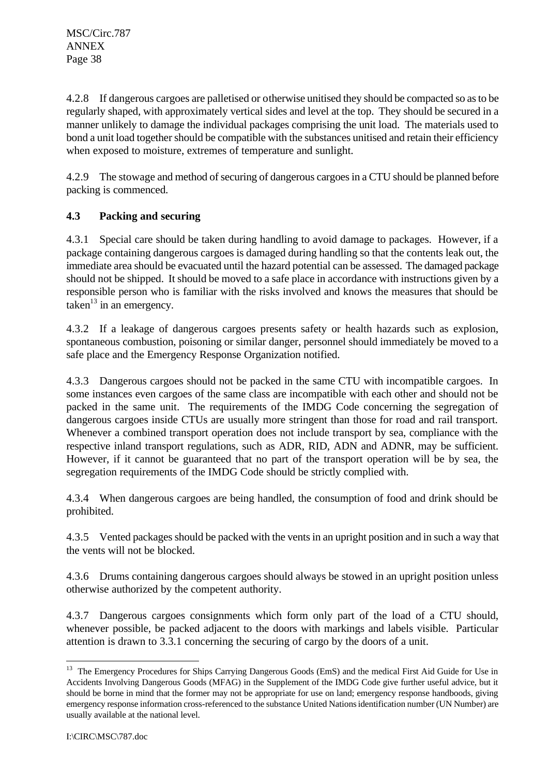4.2.8 If dangerous cargoes are palletised or otherwise unitised they should be compacted so as to be regularly shaped, with approximately vertical sides and level at the top. They should be secured in a manner unlikely to damage the individual packages comprising the unit load. The materials used to bond a unit load together should be compatible with the substances unitised and retain their efficiency when exposed to moisture, extremes of temperature and sunlight.

4.2.9 The stowage and method of securing of dangerous cargoes in a CTU should be planned before packing is commenced.

# **4.3 Packing and securing**

4.3.1 Special care should be taken during handling to avoid damage to packages. However, if a package containing dangerous cargoes is damaged during handling so that the contents leak out, the immediate area should be evacuated until the hazard potential can be assessed. The damaged package should not be shipped. It should be moved to a safe place in accordance with instructions given by a responsible person who is familiar with the risks involved and knows the measures that should be taken $^{13}$  in an emergency.

4.3.2 If a leakage of dangerous cargoes presents safety or health hazards such as explosion, spontaneous combustion, poisoning or similar danger, personnel should immediately be moved to a safe place and the Emergency Response Organization notified.

4.3.3 Dangerous cargoes should not be packed in the same CTU with incompatible cargoes. In some instances even cargoes of the same class are incompatible with each other and should not be packed in the same unit. The requirements of the IMDG Code concerning the segregation of dangerous cargoes inside CTUs are usually more stringent than those for road and rail transport. Whenever a combined transport operation does not include transport by sea, compliance with the respective inland transport regulations, such as ADR, RID, ADN and ADNR, may be sufficient. However, if it cannot be guaranteed that no part of the transport operation will be by sea, the segregation requirements of the IMDG Code should be strictly complied with.

4.3.4 When dangerous cargoes are being handled, the consumption of food and drink should be prohibited.

4.3.5 Vented packages should be packed with the vents in an upright position and in such a way that the vents will not be blocked.

4.3.6 Drums containing dangerous cargoes should always be stowed in an upright position unless otherwise authorized by the competent authority.

4.3.7 Dangerous cargoes consignments which form only part of the load of a CTU should, whenever possible, be packed adjacent to the doors with markings and labels visible. Particular attention is drawn to 3.3.1 concerning the securing of cargo by the doors of a unit.

 $\overline{a}$ 

<sup>&</sup>lt;sup>13</sup> The Emergency Procedures for Ships Carrying Dangerous Goods (EmS) and the medical First Aid Guide for Use in Accidents Involving Dangerous Goods (MFAG) in the Supplement of the IMDG Code give further useful advice, but it should be borne in mind that the former may not be appropriate for use on land; emergency response handboods, giving emergency response information cross-referenced to the substance United Nations identification number (UN Number) are usually available at the national level.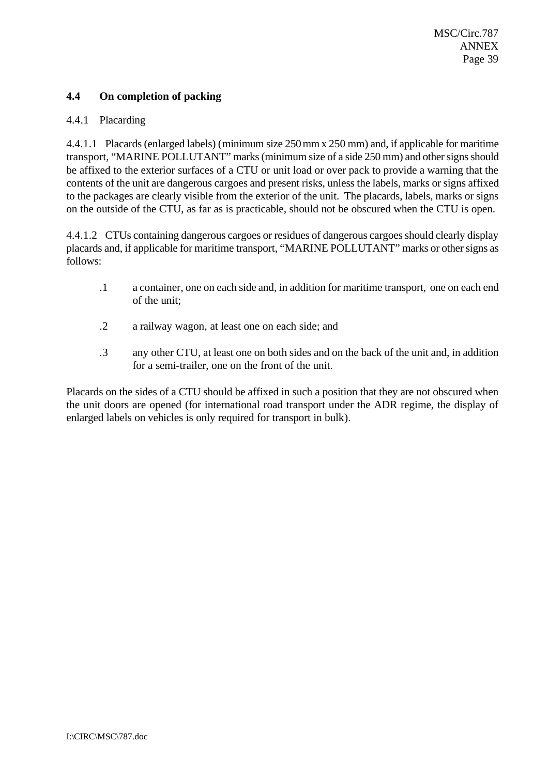## **4.4 On completion of packing**

#### 4.4.1 Placarding

4.4.1.1 Placards (enlarged labels) (minimum size 250 mm x 250 mm) and, if applicable for maritime transport, "MARINE POLLUTANT" marks (minimum size of a side 250 mm) and other signs should be affixed to the exterior surfaces of a CTU or unit load or over pack to provide a warning that the contents of the unit are dangerous cargoes and present risks, unless the labels, marks or signs affixed to the packages are clearly visible from the exterior of the unit. The placards, labels, marks or signs on the outside of the CTU, as far as is practicable, should not be obscured when the CTU is open.

4.4.1.2 CTUs containing dangerous cargoes or residues of dangerous cargoes should clearly display placards and, if applicable for maritime transport, "MARINE POLLUTANT" marks or other signs as follows:

- .1 a container, one on each side and, in addition for maritime transport, one on each end of the unit;
- .2 a railway wagon, at least one on each side; and
- .3 any other CTU, at least one on both sides and on the back of the unit and, in addition for a semi-trailer, one on the front of the unit.

Placards on the sides of a CTU should be affixed in such a position that they are not obscured when the unit doors are opened (for international road transport under the ADR regime, the display of enlarged labels on vehicles is only required for transport in bulk).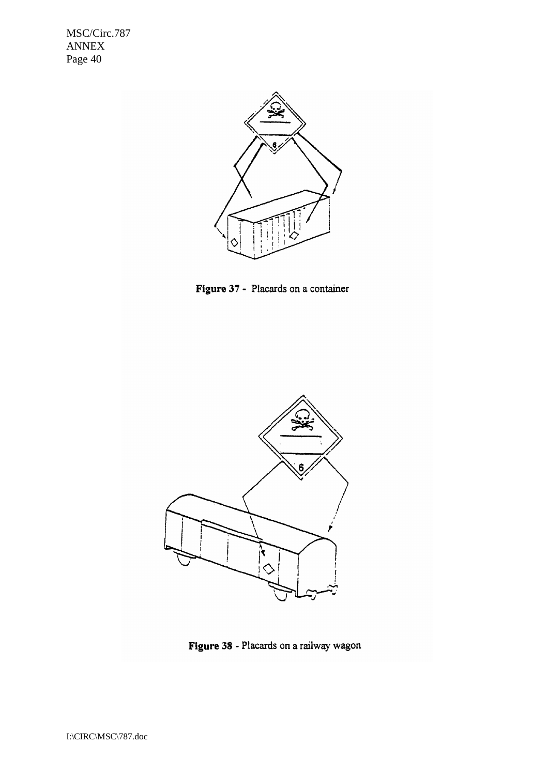





Figure 38 - Placards on a railway wagon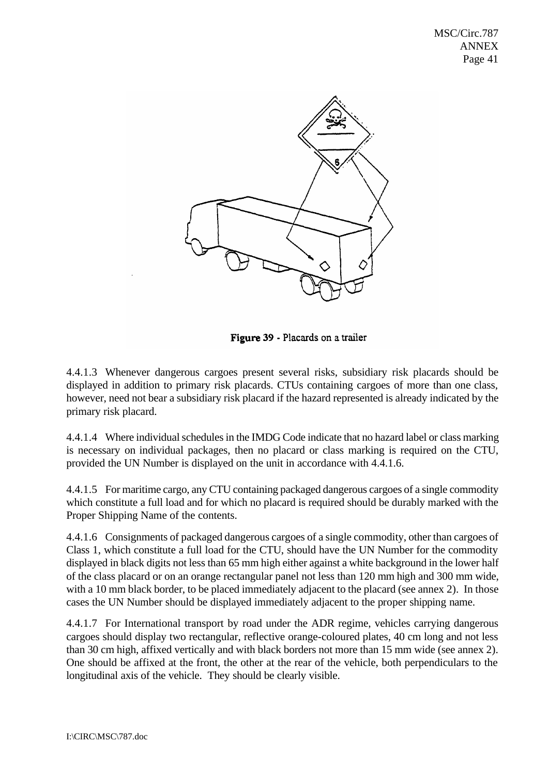

Figure 39 - Placards on a trailer

4.4.1.3 Whenever dangerous cargoes present several risks, subsidiary risk placards should be displayed in addition to primary risk placards. CTUs containing cargoes of more than one class, however, need not bear a subsidiary risk placard if the hazard represented is already indicated by the primary risk placard.

4.4.1.4 Where individual schedules in the IMDG Code indicate that no hazard label or class marking is necessary on individual packages, then no placard or class marking is required on the CTU, provided the UN Number is displayed on the unit in accordance with 4.4.1.6.

4.4.1.5 For maritime cargo, any CTU containing packaged dangerous cargoes of a single commodity which constitute a full load and for which no placard is required should be durably marked with the Proper Shipping Name of the contents.

4.4.1.6 Consignments of packaged dangerous cargoes of a single commodity, other than cargoes of Class 1, which constitute a full load for the CTU, should have the UN Number for the commodity displayed in black digits not less than 65 mm high either against a white background in the lower half of the class placard or on an orange rectangular panel not less than 120 mm high and 300 mm wide, with a 10 mm black border, to be placed immediately adjacent to the placard (see annex 2). In those cases the UN Number should be displayed immediately adjacent to the proper shipping name.

4.4.1.7 For International transport by road under the ADR regime, vehicles carrying dangerous cargoes should display two rectangular, reflective orange-coloured plates, 40 cm long and not less than 30 cm high, affixed vertically and with black borders not more than 15 mm wide (see annex 2). One should be affixed at the front, the other at the rear of the vehicle, both perpendiculars to the longitudinal axis of the vehicle. They should be clearly visible.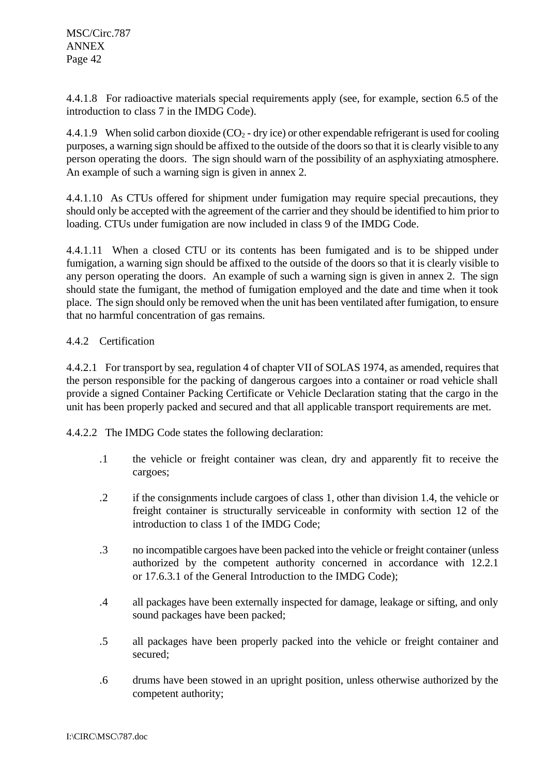4.4.1.8 For radioactive materials special requirements apply (see, for example, section 6.5 of the introduction to class 7 in the IMDG Code).

4.4.1.9 When solid carbon dioxide  $(CO_2 - dry$  ice) or other expendable refrigerant is used for cooling purposes, a warning sign should be affixed to the outside of the doors so that it is clearly visible to any person operating the doors. The sign should warn of the possibility of an asphyxiating atmosphere. An example of such a warning sign is given in annex 2.

4.4.1.10 As CTUs offered for shipment under fumigation may require special precautions, they should only be accepted with the agreement of the carrier and they should be identified to him prior to loading. CTUs under fumigation are now included in class 9 of the IMDG Code.

4.4.1.11 When a closed CTU or its contents has been fumigated and is to be shipped under fumigation, a warning sign should be affixed to the outside of the doors so that it is clearly visible to any person operating the doors. An example of such a warning sign is given in annex 2. The sign should state the fumigant, the method of fumigation employed and the date and time when it took place. The sign should only be removed when the unit has been ventilated after fumigation, to ensure that no harmful concentration of gas remains.

## 4.4.2 Certification

4.4.2.1 For transport by sea, regulation 4 of chapter VII of SOLAS 1974, as amended, requires that the person responsible for the packing of dangerous cargoes into a container or road vehicle shall provide a signed Container Packing Certificate or Vehicle Declaration stating that the cargo in the unit has been properly packed and secured and that all applicable transport requirements are met.

4.4.2.2 The IMDG Code states the following declaration:

- .1 the vehicle or freight container was clean, dry and apparently fit to receive the cargoes;
- .2 if the consignments include cargoes of class 1, other than division 1.4, the vehicle or freight container is structurally serviceable in conformity with section 12 of the introduction to class 1 of the IMDG Code;
- .3 no incompatible cargoes have been packed into the vehicle or freight container (unless authorized by the competent authority concerned in accordance with 12.2.1 or 17.6.3.1 of the General Introduction to the IMDG Code);
- .4 all packages have been externally inspected for damage, leakage or sifting, and only sound packages have been packed;
- .5 all packages have been properly packed into the vehicle or freight container and secured;
- .6 drums have been stowed in an upright position, unless otherwise authorized by the competent authority;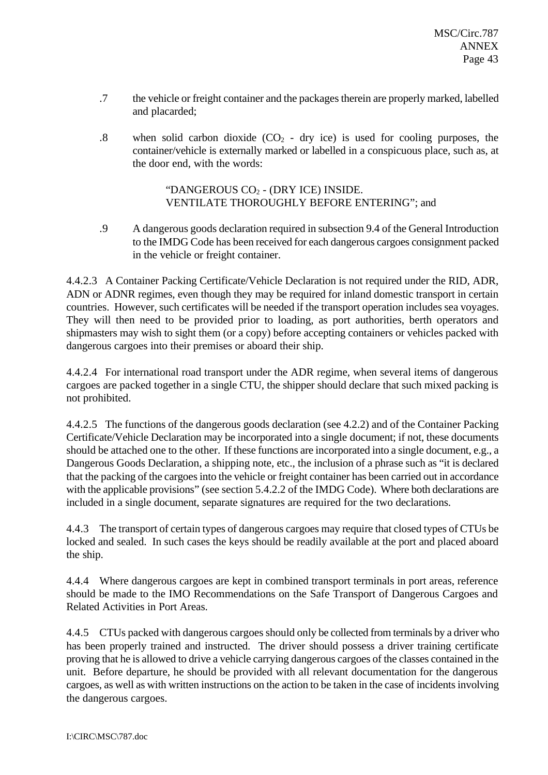- .7 the vehicle or freight container and the packages therein are properly marked, labelled and placarded;
- .8 when solid carbon dioxide  $(CO<sub>2</sub> dry ice)$  is used for cooling purposes, the container/vehicle is externally marked or labelled in a conspicuous place, such as, at the door end, with the words:

## "DANGEROUS CO<sub>2</sub> - (DRY ICE) INSIDE. VENTILATE THOROUGHLY BEFORE ENTERING"; and

.9 A dangerous goods declaration required in subsection 9.4 of the General Introduction to the IMDG Code has been received for each dangerous cargoes consignment packed in the vehicle or freight container.

4.4.2.3 A Container Packing Certificate/Vehicle Declaration is not required under the RID, ADR, ADN or ADNR regimes, even though they may be required for inland domestic transport in certain countries. However, such certificates will be needed if the transport operation includes sea voyages. They will then need to be provided prior to loading, as port authorities, berth operators and shipmasters may wish to sight them (or a copy) before accepting containers or vehicles packed with dangerous cargoes into their premises or aboard their ship.

4.4.2.4 For international road transport under the ADR regime, when several items of dangerous cargoes are packed together in a single CTU, the shipper should declare that such mixed packing is not prohibited.

4.4.2.5 The functions of the dangerous goods declaration (see 4.2.2) and of the Container Packing Certificate/Vehicle Declaration may be incorporated into a single document; if not, these documents should be attached one to the other. If these functions are incorporated into a single document, e.g., a Dangerous Goods Declaration, a shipping note, etc., the inclusion of a phrase such as "it is declared that the packing of the cargoes into the vehicle or freight container has been carried out in accordance with the applicable provisions" (see section 5.4.2.2 of the IMDG Code). Where both declarations are included in a single document, separate signatures are required for the two declarations.

4.4.3 The transport of certain types of dangerous cargoes may require that closed types of CTUs be locked and sealed. In such cases the keys should be readily available at the port and placed aboard the ship.

4.4.4 Where dangerous cargoes are kept in combined transport terminals in port areas, reference should be made to the IMO Recommendations on the Safe Transport of Dangerous Cargoes and Related Activities in Port Areas.

4.4.5 CTUs packed with dangerous cargoes should only be collected from terminals by a driver who has been properly trained and instructed. The driver should possess a driver training certificate proving that he is allowed to drive a vehicle carrying dangerous cargoes of the classes contained in the unit. Before departure, he should be provided with all relevant documentation for the dangerous cargoes, as well as with written instructions on the action to be taken in the case of incidents involving the dangerous cargoes.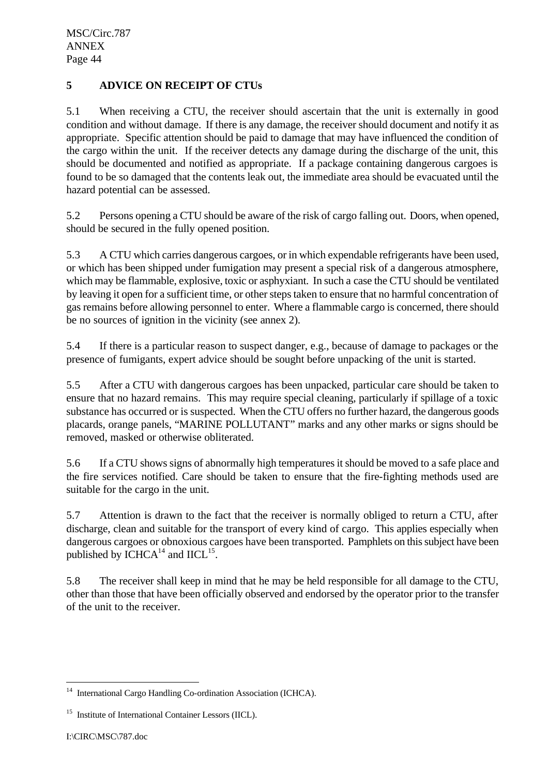## **5 ADVICE ON RECEIPT OF CTUs**

5.1 When receiving a CTU, the receiver should ascertain that the unit is externally in good condition and without damage. If there is any damage, the receiver should document and notify it as appropriate. Specific attention should be paid to damage that may have influenced the condition of the cargo within the unit. If the receiver detects any damage during the discharge of the unit, this should be documented and notified as appropriate. If a package containing dangerous cargoes is found to be so damaged that the contents leak out, the immediate area should be evacuated until the hazard potential can be assessed.

5.2 Persons opening a CTU should be aware of the risk of cargo falling out. Doors, when opened, should be secured in the fully opened position.

5.3 A CTU which carries dangerous cargoes, or in which expendable refrigerants have been used, or which has been shipped under fumigation may present a special risk of a dangerous atmosphere, which may be flammable, explosive, toxic or asphyxiant. In such a case the CTU should be ventilated by leaving it open for a sufficient time, or other steps taken to ensure that no harmful concentration of gas remains before allowing personnel to enter. Where a flammable cargo is concerned, there should be no sources of ignition in the vicinity (see annex 2).

5.4 If there is a particular reason to suspect danger, e.g., because of damage to packages or the presence of fumigants, expert advice should be sought before unpacking of the unit is started.

5.5 After a CTU with dangerous cargoes has been unpacked, particular care should be taken to ensure that no hazard remains. This may require special cleaning, particularly if spillage of a toxic substance has occurred or is suspected. When the CTU offers no further hazard, the dangerous goods placards, orange panels, "MARINE POLLUTANT" marks and any other marks or signs should be removed, masked or otherwise obliterated.

5.6 If a CTU shows signs of abnormally high temperatures it should be moved to a safe place and the fire services notified. Care should be taken to ensure that the fire-fighting methods used are suitable for the cargo in the unit.

5.7 Attention is drawn to the fact that the receiver is normally obliged to return a CTU, after discharge, clean and suitable for the transport of every kind of cargo. This applies especially when dangerous cargoes or obnoxious cargoes have been transported. Pamphlets on this subject have been published by ICHCA $^{14}$  and IICL $^{15}$ .

5.8 The receiver shall keep in mind that he may be held responsible for all damage to the CTU, other than those that have been officially observed and endorsed by the operator prior to the transfer of the unit to the receiver.

 $\overline{a}$ 

<sup>&</sup>lt;sup>14</sup> International Cargo Handling Co-ordination Association (ICHCA).

<sup>&</sup>lt;sup>15</sup> Institute of International Container Lessors (IICL).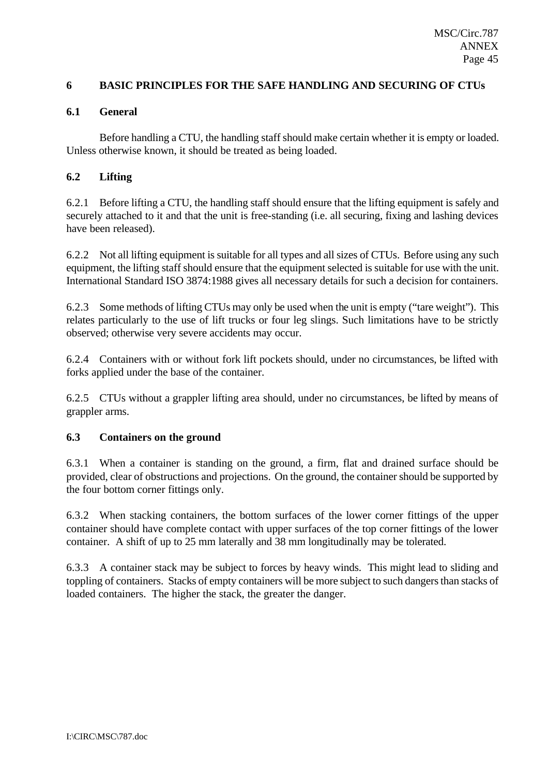### **6 BASIC PRINCIPLES FOR THE SAFE HANDLING AND SECURING OF CTUs**

#### **6.1 General**

Before handling a CTU, the handling staff should make certain whether it is empty or loaded. Unless otherwise known, it should be treated as being loaded.

## **6.2 Lifting**

6.2.1 Before lifting a CTU, the handling staff should ensure that the lifting equipment is safely and securely attached to it and that the unit is free-standing (i.e. all securing, fixing and lashing devices have been released).

6.2.2 Not all lifting equipment is suitable for all types and all sizes of CTUs. Before using any such equipment, the lifting staff should ensure that the equipment selected is suitable for use with the unit. International Standard ISO 3874:1988 gives all necessary details for such a decision for containers.

6.2.3 Some methods of lifting CTUs may only be used when the unit is empty ("tare weight"). This relates particularly to the use of lift trucks or four leg slings. Such limitations have to be strictly observed; otherwise very severe accidents may occur.

6.2.4 Containers with or without fork lift pockets should, under no circumstances, be lifted with forks applied under the base of the container.

6.2.5 CTUs without a grappler lifting area should, under no circumstances, be lifted by means of grappler arms.

### **6.3 Containers on the ground**

6.3.1 When a container is standing on the ground, a firm, flat and drained surface should be provided, clear of obstructions and projections. On the ground, the container should be supported by the four bottom corner fittings only.

6.3.2 When stacking containers, the bottom surfaces of the lower corner fittings of the upper container should have complete contact with upper surfaces of the top corner fittings of the lower container. A shift of up to 25 mm laterally and 38 mm longitudinally may be tolerated.

6.3.3 A container stack may be subject to forces by heavy winds. This might lead to sliding and toppling of containers. Stacks of empty containers will be more subject to such dangers than stacks of loaded containers. The higher the stack, the greater the danger.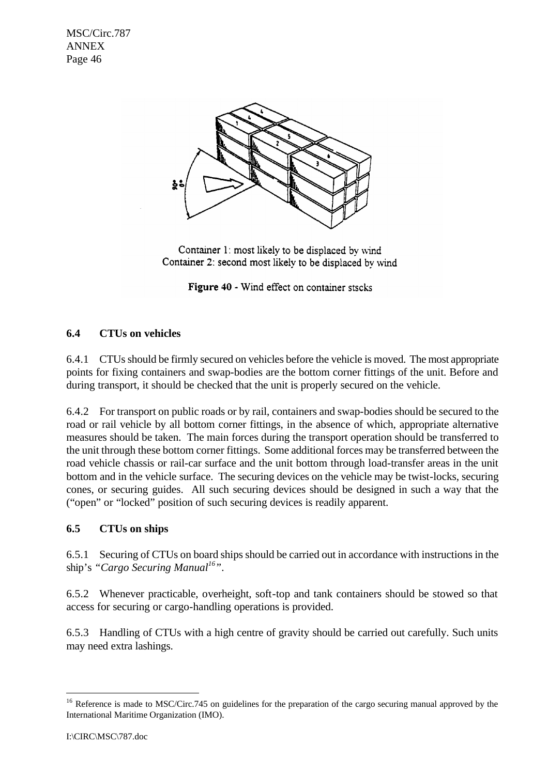

Container 1: most likely to be displaced by wind Container 2: second most likely to be displaced by wind

Figure 40 - Wind effect on container stscks

# **6.4 CTUs on vehicles**

6.4.1 CTUs should be firmly secured on vehicles before the vehicle is moved. The most appropriate points for fixing containers and swap-bodies are the bottom corner fittings of the unit. Before and during transport, it should be checked that the unit is properly secured on the vehicle.

6.4.2 For transport on public roads or by rail, containers and swap-bodies should be secured to the road or rail vehicle by all bottom corner fittings, in the absence of which, appropriate alternative measures should be taken. The main forces during the transport operation should be transferred to the unit through these bottom corner fittings. Some additional forces may be transferred between the road vehicle chassis or rail-car surface and the unit bottom through load-transfer areas in the unit bottom and in the vehicle surface. The securing devices on the vehicle may be twist-locks, securing cones, or securing guides. All such securing devices should be designed in such a way that the ("open" or "locked" position of such securing devices is readily apparent.

## **6.5 CTUs on ships**

6.5.1 Securing of CTUs on board ships should be carried out in accordance with instructions in the ship's *"Cargo Securing Manual<sup>16</sup>"*.

6.5.2 Whenever practicable, overheight, soft-top and tank containers should be stowed so that access for securing or cargo-handling operations is provided.

6.5.3 Handling of CTUs with a high centre of gravity should be carried out carefully. Such units may need extra lashings.

 $\overline{a}$ 

<sup>&</sup>lt;sup>16</sup> Reference is made to MSC/Circ.745 on guidelines for the preparation of the cargo securing manual approved by the International Maritime Organization (IMO).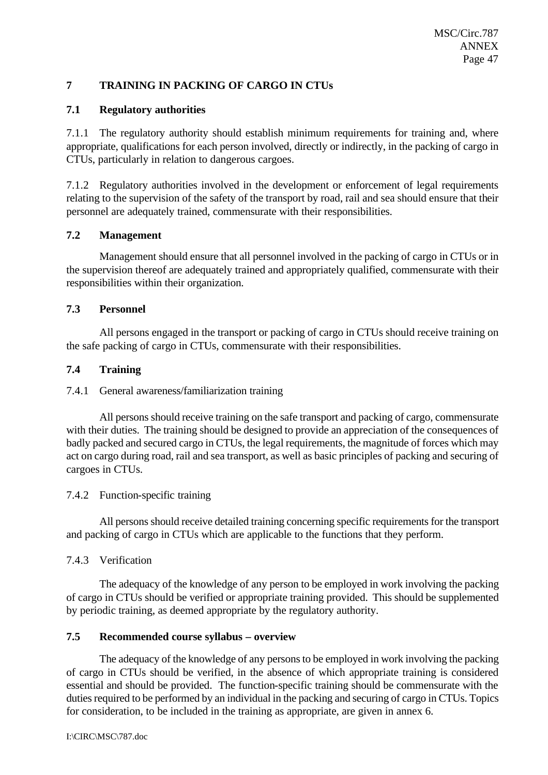## **7 TRAINING IN PACKING OF CARGO IN CTUs**

### **7.1 Regulatory authorities**

7.1.1 The regulatory authority should establish minimum requirements for training and, where appropriate, qualifications for each person involved, directly or indirectly, in the packing of cargo in CTUs, particularly in relation to dangerous cargoes.

7.1.2 Regulatory authorities involved in the development or enforcement of legal requirements relating to the supervision of the safety of the transport by road, rail and sea should ensure that their personnel are adequately trained, commensurate with their responsibilities.

### **7.2 Management**

Management should ensure that all personnel involved in the packing of cargo in CTUs or in the supervision thereof are adequately trained and appropriately qualified, commensurate with their responsibilities within their organization.

## **7.3 Personnel**

All persons engaged in the transport or packing of cargo in CTUs should receive training on the safe packing of cargo in CTUs, commensurate with their responsibilities.

### **7.4 Training**

#### 7.4.1 General awareness/familiarization training

All persons should receive training on the safe transport and packing of cargo, commensurate with their duties. The training should be designed to provide an appreciation of the consequences of badly packed and secured cargo in CTUs, the legal requirements, the magnitude of forces which may act on cargo during road, rail and sea transport, as well as basic principles of packing and securing of cargoes in CTUs.

### 7.4.2 Function-specific training

All persons should receive detailed training concerning specific requirements for the transport and packing of cargo in CTUs which are applicable to the functions that they perform.

### 7.4.3 Verification

The adequacy of the knowledge of any person to be employed in work involving the packing of cargo in CTUs should be verified or appropriate training provided. This should be supplemented by periodic training, as deemed appropriate by the regulatory authority.

### **7.5 Recommended course syllabus – overview**

The adequacy of the knowledge of any persons to be employed in work involving the packing of cargo in CTUs should be verified, in the absence of which appropriate training is considered essential and should be provided. The function-specific training should be commensurate with the duties required to be performed by an individual in the packing and securing of cargo in CTUs. Topics for consideration, to be included in the training as appropriate, are given in annex 6.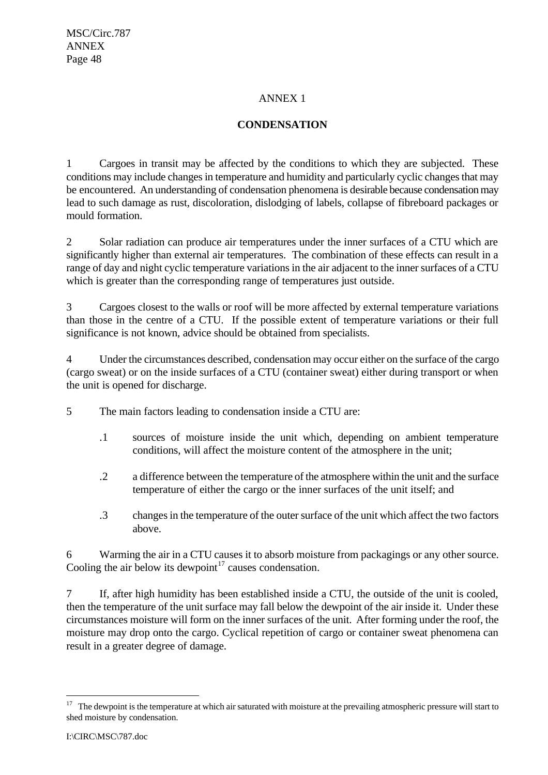# **CONDENSATION**

1 Cargoes in transit may be affected by the conditions to which they are subjected. These conditions may include changes in temperature and humidity and particularly cyclic changes that may be encountered. An understanding of condensation phenomena is desirable because condensation may lead to such damage as rust, discoloration, dislodging of labels, collapse of fibreboard packages or mould formation.

2 Solar radiation can produce air temperatures under the inner surfaces of a CTU which are significantly higher than external air temperatures. The combination of these effects can result in a range of day and night cyclic temperature variations in the air adjacent to the inner surfaces of a CTU which is greater than the corresponding range of temperatures just outside.

3 Cargoes closest to the walls or roof will be more affected by external temperature variations than those in the centre of a CTU. If the possible extent of temperature variations or their full significance is not known, advice should be obtained from specialists.

4 Under the circumstances described, condensation may occur either on the surface of the cargo (cargo sweat) or on the inside surfaces of a CTU (container sweat) either during transport or when the unit is opened for discharge.

5 The main factors leading to condensation inside a CTU are:

- .1 sources of moisture inside the unit which, depending on ambient temperature conditions, will affect the moisture content of the atmosphere in the unit;
- .2 a difference between the temperature of the atmosphere within the unit and the surface temperature of either the cargo or the inner surfaces of the unit itself; and
- .3 changes in the temperature of the outer surface of the unit which affect the two factors above.

6 Warming the air in a CTU causes it to absorb moisture from packagings or any other source. Cooling the air below its dewpoint<sup>17</sup> causes condensation.

7 If, after high humidity has been established inside a CTU, the outside of the unit is cooled, then the temperature of the unit surface may fall below the dewpoint of the air inside it. Under these circumstances moisture will form on the inner surfaces of the unit. After forming under the roof, the moisture may drop onto the cargo. Cyclical repetition of cargo or container sweat phenomena can result in a greater degree of damage.

 $\overline{a}$ 

 $17$  The dewpoint is the temperature at which air saturated with moisture at the prevailing atmospheric pressure will start to shed moisture by condensation.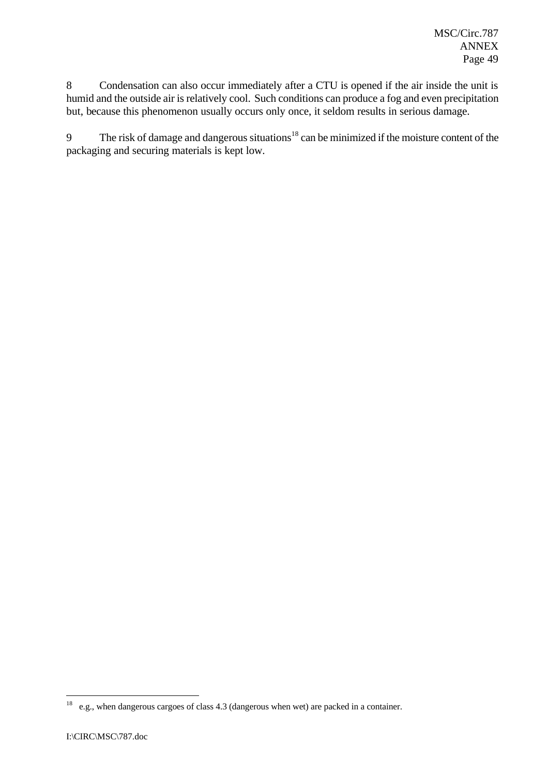8 Condensation can also occur immediately after a CTU is opened if the air inside the unit is humid and the outside air is relatively cool. Such conditions can produce a fog and even precipitation but, because this phenomenon usually occurs only once, it seldom results in serious damage.

9 The risk of damage and dangerous situations<sup>18</sup> can be minimized if the moisture content of the packaging and securing materials is kept low.

 $\overline{a}$ 

<sup>&</sup>lt;sup>18</sup> e.g., when dangerous cargoes of class 4.3 (dangerous when wet) are packed in a container.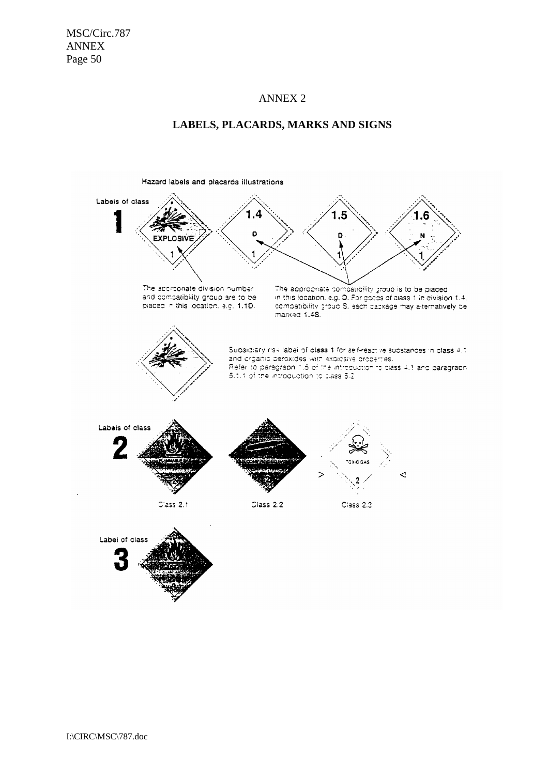#### **LABELS, PLACARDS, MARKS AND SIGNS**

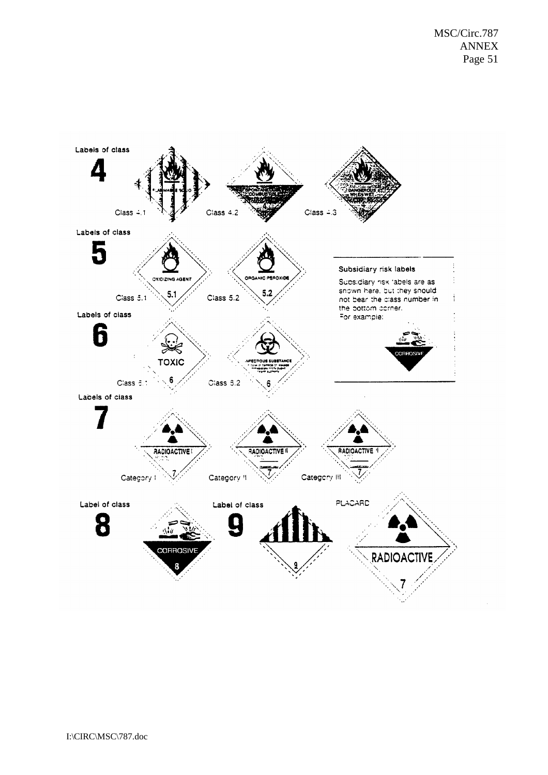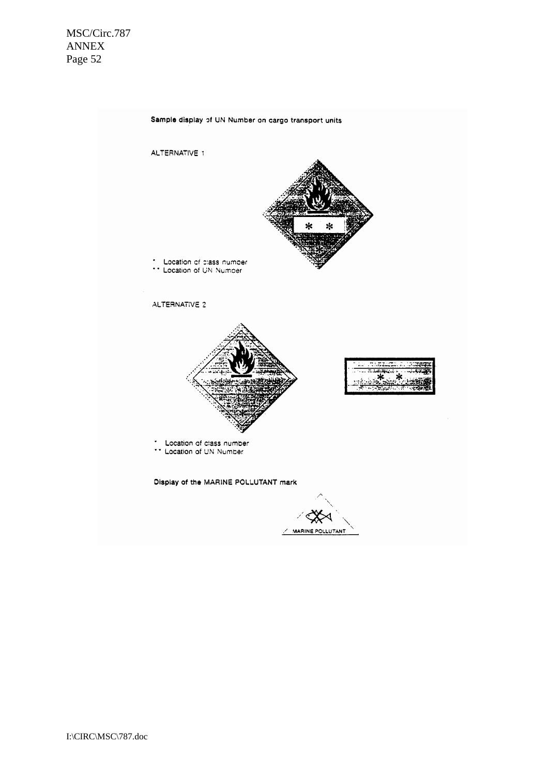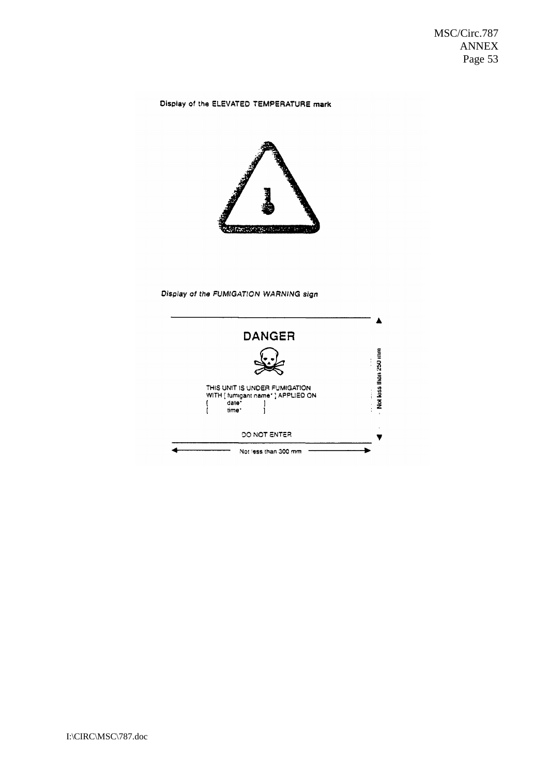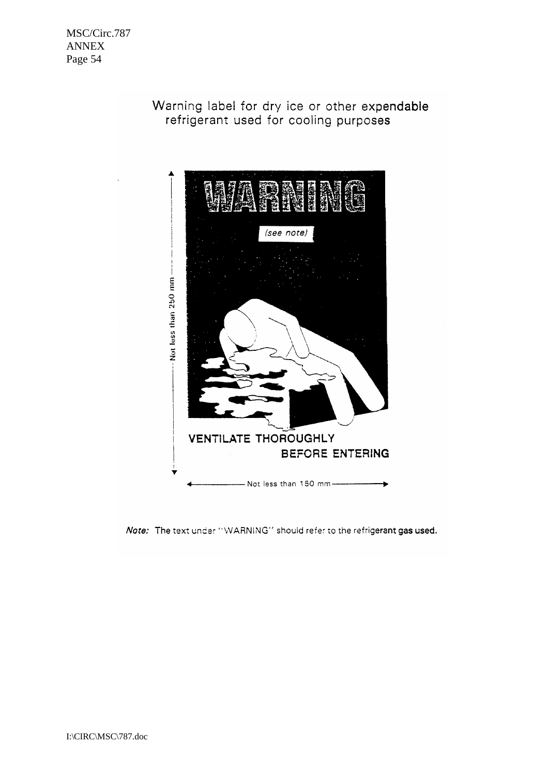

Note: The text under "WARNING" should refer to the refrigerant gas used.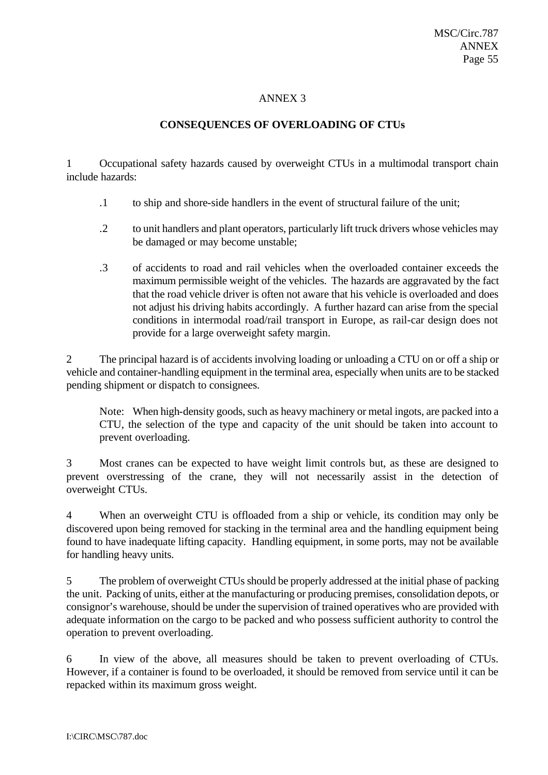## **CONSEQUENCES OF OVERLOADING OF CTUs**

1 Occupational safety hazards caused by overweight CTUs in a multimodal transport chain include hazards:

- .1 to ship and shore-side handlers in the event of structural failure of the unit;
- .2 to unit handlers and plant operators, particularly lift truck drivers whose vehicles may be damaged or may become unstable;
- .3 of accidents to road and rail vehicles when the overloaded container exceeds the maximum permissible weight of the vehicles. The hazards are aggravated by the fact that the road vehicle driver is often not aware that his vehicle is overloaded and does not adjust his driving habits accordingly. A further hazard can arise from the special conditions in intermodal road/rail transport in Europe, as rail-car design does not provide for a large overweight safety margin.

2 The principal hazard is of accidents involving loading or unloading a CTU on or off a ship or vehicle and container-handling equipment in the terminal area, especially when units are to be stacked pending shipment or dispatch to consignees.

Note: When high-density goods, such as heavy machinery or metal ingots, are packed into a CTU, the selection of the type and capacity of the unit should be taken into account to prevent overloading.

3 Most cranes can be expected to have weight limit controls but, as these are designed to prevent overstressing of the crane, they will not necessarily assist in the detection of overweight CTUs.

4 When an overweight CTU is offloaded from a ship or vehicle, its condition may only be discovered upon being removed for stacking in the terminal area and the handling equipment being found to have inadequate lifting capacity. Handling equipment, in some ports, may not be available for handling heavy units.

5 The problem of overweight CTUs should be properly addressed at the initial phase of packing the unit. Packing of units, either at the manufacturing or producing premises, consolidation depots, or consignor's warehouse, should be under the supervision of trained operatives who are provided with adequate information on the cargo to be packed and who possess sufficient authority to control the operation to prevent overloading.

6 In view of the above, all measures should be taken to prevent overloading of CTUs. However, if a container is found to be overloaded, it should be removed from service until it can be repacked within its maximum gross weight.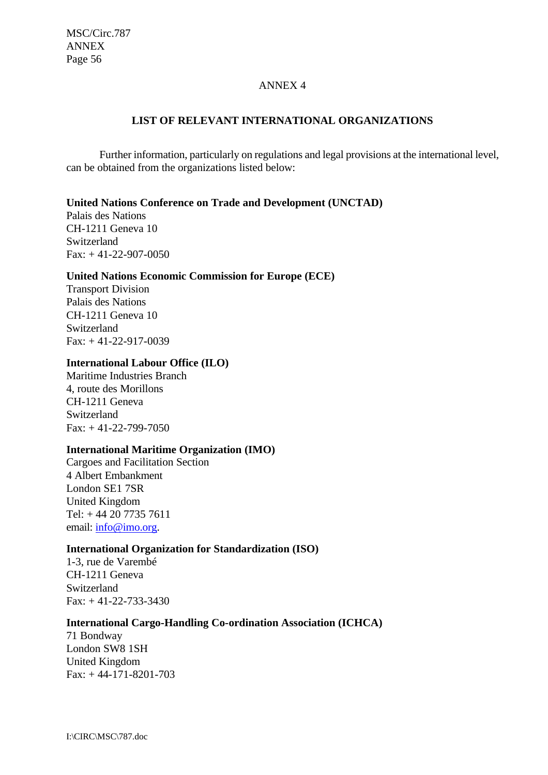## **LIST OF RELEVANT INTERNATIONAL ORGANIZATIONS**

Further information, particularly on regulations and legal provisions at the international level, can be obtained from the organizations listed below:

### **United Nations Conference on Trade and Development (UNCTAD)**

Palais des Nations CH-1211 Geneva 10 Switzerland  $Fax: + 41-22-907-0050$ 

### **United Nations Economic Commission for Europe (ECE)**

Transport Division Palais des Nations CH-1211 Geneva 10 Switzerland  $Fax: + 41-22-917-0039$ 

### **International Labour Office (ILO)**

Maritime Industries Branch 4, route des Morillons CH-1211 Geneva Switzerland Fax: + 41-22-799-7050

### **International Maritime Organization (IMO)**

Cargoes and Facilitation Section 4 Albert Embankment London SE1 7SR United Kingdom Tel: + 44 20 7735 7611 email: info@imo.org.

### **International Organization for Standardization (ISO)**

1-3, rue de Varembé CH-1211 Geneva **Switzerland**  $Fax: + 41-22-733-3430$ 

#### **International Cargo-Handling Co-ordination Association (ICHCA)**

71 Bondway London SW8 1SH United Kingdom  $Fax: + 44-171-8201-703$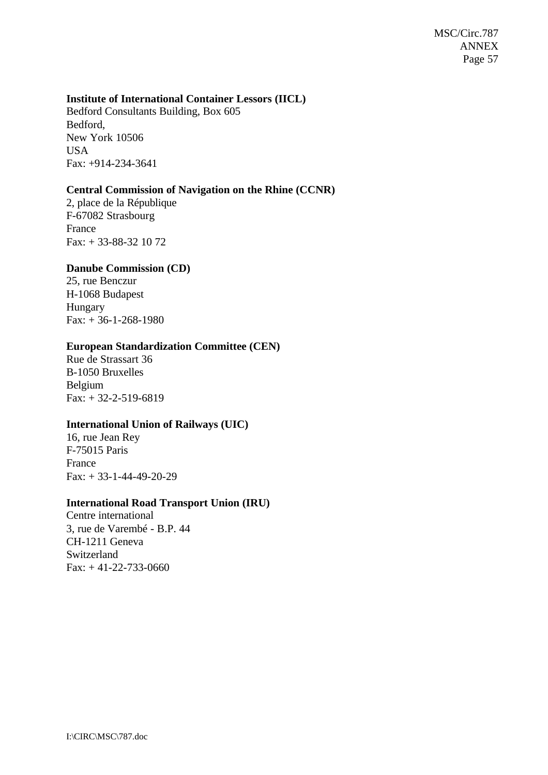### **Institute of International Container Lessors (IICL)**

Bedford Consultants Building, Box 605 Bedford, New York 10506 USA Fax: +914-234-3641

## **Central Commission of Navigation on the Rhine (CCNR)**

2, place de la République F-67082 Strasbourg France Fax: + 33-88-32 10 72

## **Danube Commission (CD)**

25, rue Benczur H-1068 Budapest Hungary  $Fax: + 36-1-268-1980$ 

### **European Standardization Committee (CEN)**

Rue de Strassart 36 B-1050 Bruxelles Belgium  $Fax: + 32-2-519-6819$ 

### **International Union of Railways (UIC)**

16, rue Jean Rey F-75015 Paris France Fax: + 33-1-44-49-20-29

### **International Road Transport Union (IRU)**

Centre international 3, rue de Varembé - B.P. 44 CH-1211 Geneva Switzerland Fax: + 41-22-733-0660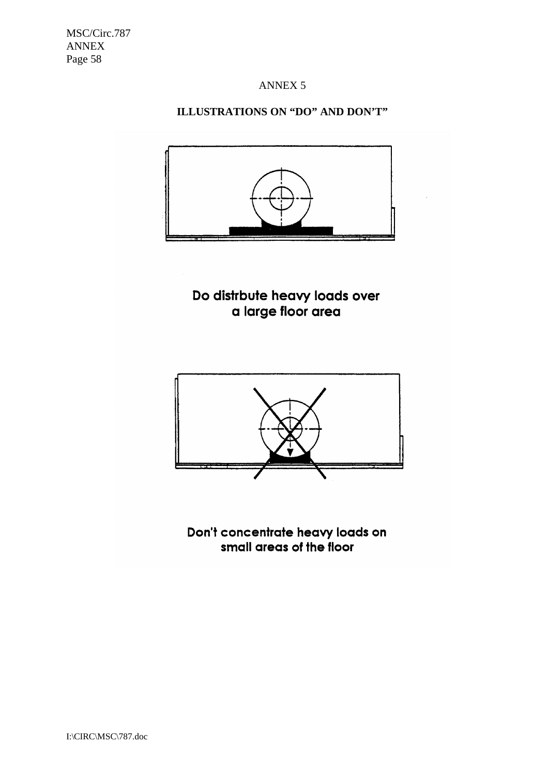# **ILLUSTRATIONS ON "DO" AND DON'T"**

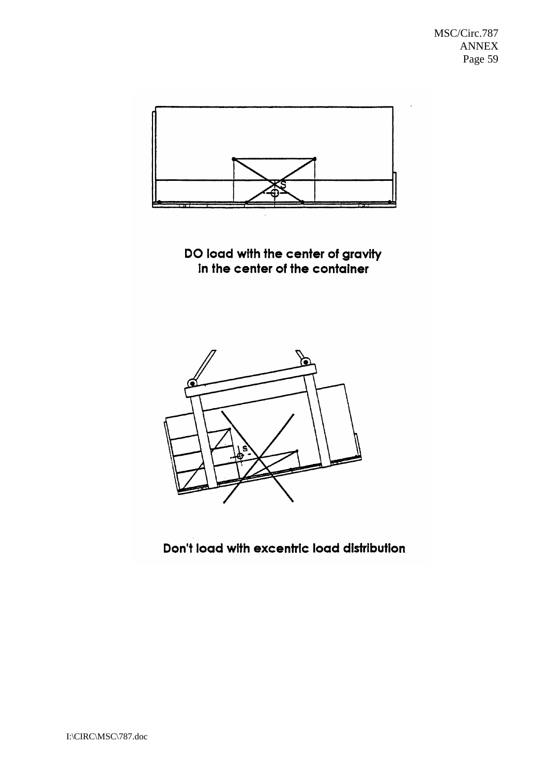

DO load with the center of gravity in the center of the container



Don't load with excentric load distribution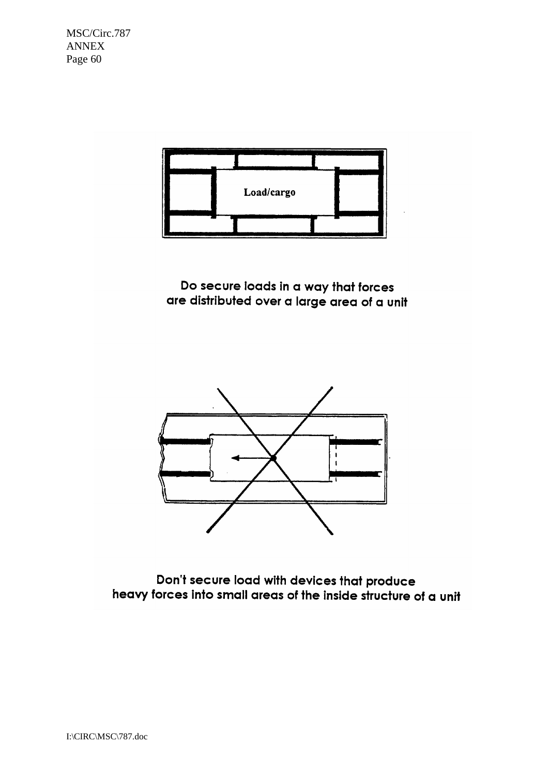

Do secure loads in a way that forces are distributed over a large area of a unit



Don't secure load with devices that produce heavy forces into small areas of the inside structure of a unit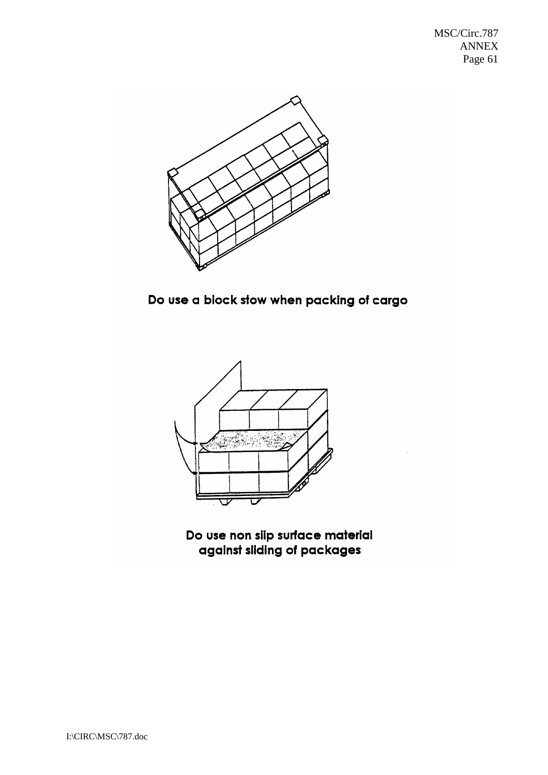

Do use a block stow when packing of cargo



Do use non slip surface material against sliding of packages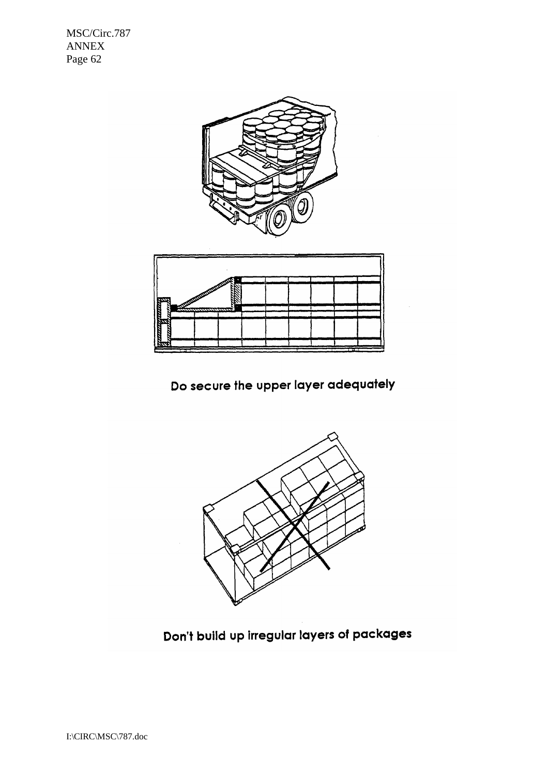

Don't build up irregular layers of packages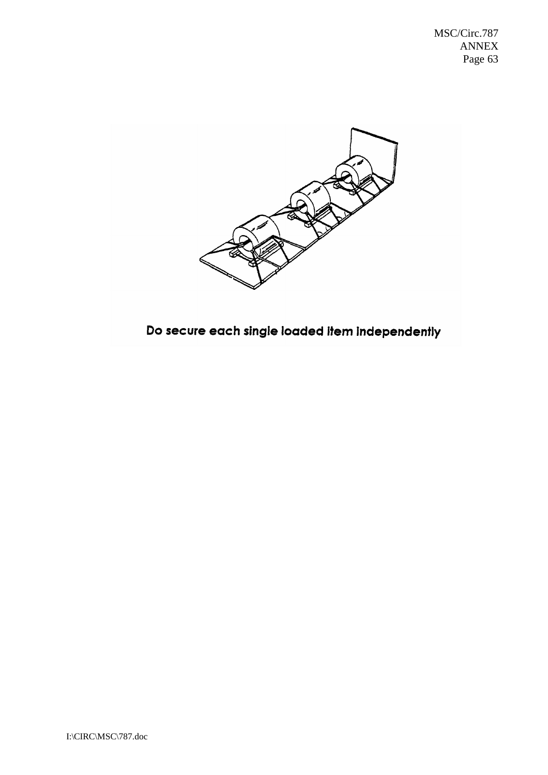

Do secure each single loaded item independently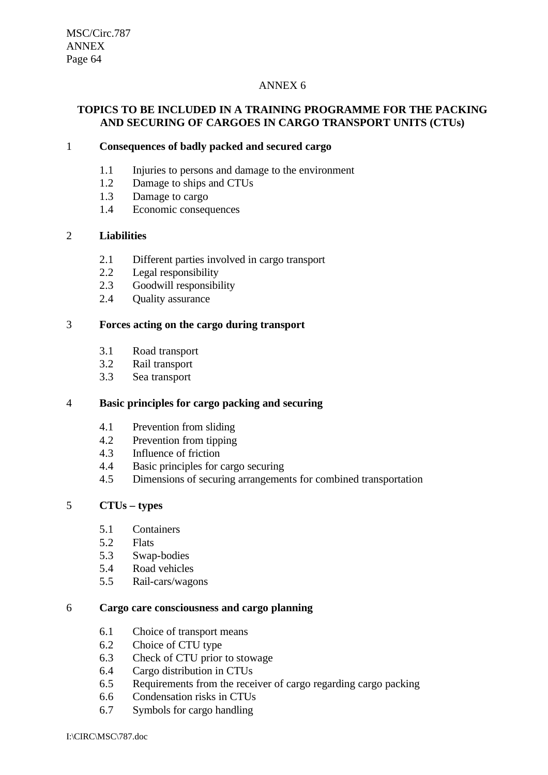# **TOPICS TO BE INCLUDED IN A TRAINING PROGRAMME FOR THE PACKING AND SECURING OF CARGOES IN CARGO TRANSPORT UNITS (CTUs)**

### 1 **Consequences of badly packed and secured cargo**

- 1.1 Injuries to persons and damage to the environment
- 1.2 Damage to ships and CTUs
- 1.3 Damage to cargo
- 1.4 Economic consequences

## 2 **Liabilities**

- 2.1 Different parties involved in cargo transport
- 2.2 Legal responsibility
- 2.3 Goodwill responsibility
- 2.4 Quality assurance

## 3 **Forces acting on the cargo during transport**

- 3.1 Road transport
- 3.2 Rail transport
- 3.3 Sea transport

### 4 **Basic principles for cargo packing and securing**

- 4.1 Prevention from sliding
- 4.2 Prevention from tipping
- 4.3 Influence of friction
- 4.4 Basic principles for cargo securing
- 4.5 Dimensions of securing arrangements for combined transportation

## 5 **CTUs – types**

- 5.1 Containers
- 5.2 Flats
- 5.3 Swap-bodies
- 5.4 Road vehicles
- 5.5 Rail-cars/wagons

### 6 **Cargo care consciousness and cargo planning**

- 6.1 Choice of transport means
- 6.2 Choice of CTU type
- 6.3 Check of CTU prior to stowage
- 6.4 Cargo distribution in CTUs
- 6.5 Requirements from the receiver of cargo regarding cargo packing
- 6.6 Condensation risks in CTUs
- 6.7 Symbols for cargo handling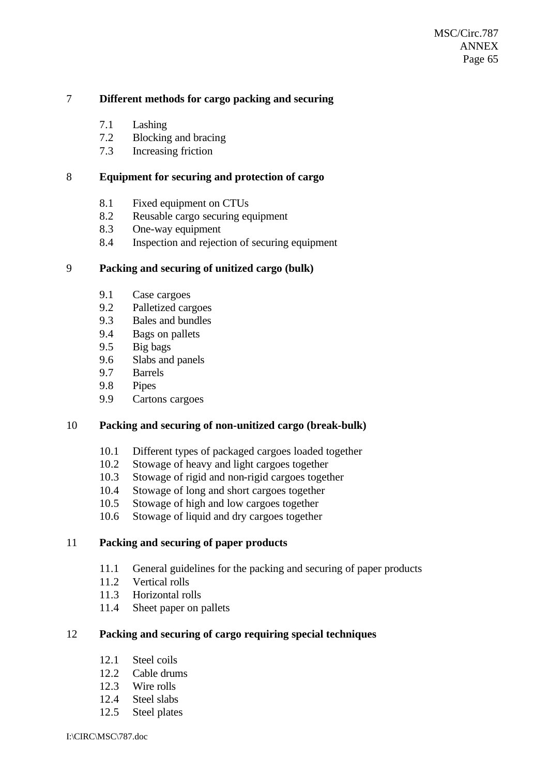## 7 **Different methods for cargo packing and securing**

- 7.1 Lashing
- 7.2 Blocking and bracing
- 7.3 Increasing friction

## 8 **Equipment for securing and protection of cargo**

- 8.1 Fixed equipment on CTUs
- 8.2 Reusable cargo securing equipment
- 8.3 One-way equipment
- 8.4 Inspection and rejection of securing equipment

# 9 **Packing and securing of unitized cargo (bulk)**

- 9.1 Case cargoes
- 9.2 Palletized cargoes
- 9.3 Bales and bundles
- 9.4 Bags on pallets
- 9.5 Big bags
- 9.6 Slabs and panels
- 9.7 Barrels
- 9.8 Pipes
- 9.9 Cartons cargoes

## 10 **Packing and securing of non-unitized cargo (break-bulk)**

- 10.1 Different types of packaged cargoes loaded together
- 10.2 Stowage of heavy and light cargoes together
- 10.3 Stowage of rigid and non-rigid cargoes together
- 10.4 Stowage of long and short cargoes together
- 10.5 Stowage of high and low cargoes together
- 10.6 Stowage of liquid and dry cargoes together

### 11 **Packing and securing of paper products**

- 11.1 General guidelines for the packing and securing of paper products
- 11.2 Vertical rolls
- 11.3 Horizontal rolls
- 11.4 Sheet paper on pallets

## 12 **Packing and securing of cargo requiring special techniques**

- 12.1 Steel coils
- 12.2 Cable drums
- 12.3 Wire rolls
- 12.4 Steel slabs
- 12.5 Steel plates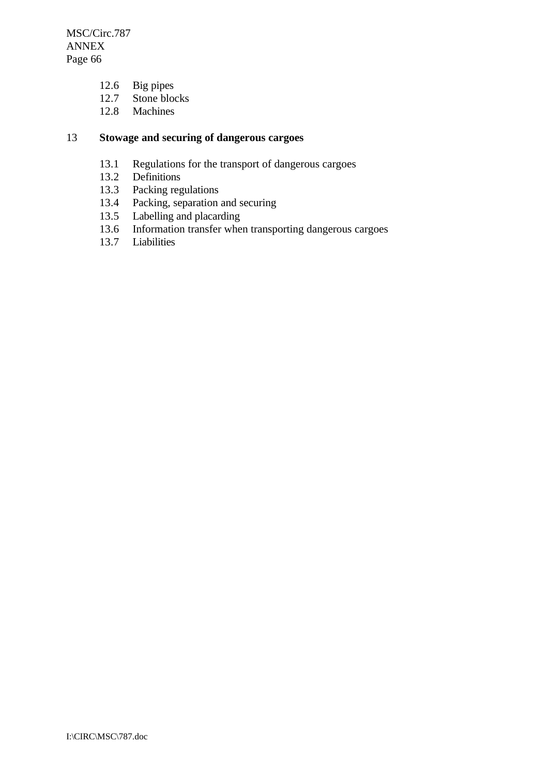- 12.6 Big pipes
- 12.7 Stone blocks
- 12.8 Machines

# 13 **Stowage and securing of dangerous cargoes**

- 13.1 Regulations for the transport of dangerous cargoes
- 13.2 Definitions
- 13.3 Packing regulations
- 13.4 Packing, separation and securing
- 13.5 Labelling and placarding
- 13.6 Information transfer when transporting dangerous cargoes
- 13.7 Liabilities